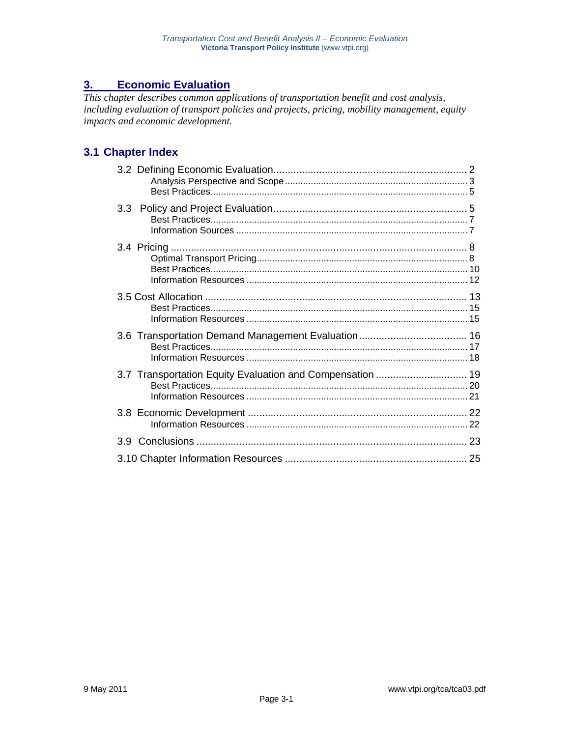# **3. Economic Evaluation**

*This chapter describes common applications of transportation benefit and cost analysis, including evaluation of transport policies and projects, pricing, mobility management, equity impacts and economic development.* 

# **3.1 Chapter Index**

| 3.7 Transportation Equity Evaluation and Compensation  19 |  |
|-----------------------------------------------------------|--|
|                                                           |  |
|                                                           |  |
|                                                           |  |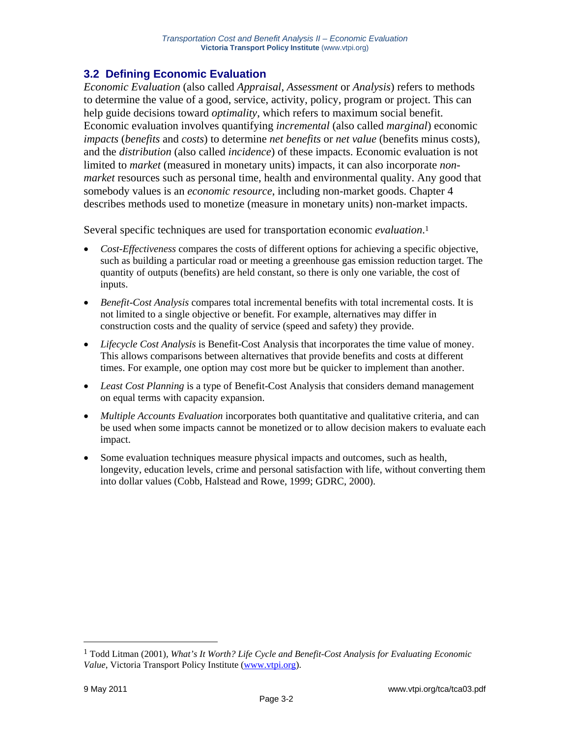# **3.2 Defining Economic Evaluation**

*Economic Evaluation* (also called *Appraisal*, *Assessment* or *Analysis*) refers to methods to determine the value of a good, service, activity, policy, program or project. This can help guide decisions toward *optimality*, which refers to maximum social benefit. Economic evaluation involves quantifying *incremental* (also called *marginal*) economic *impacts* (*benefits* and *costs*) to determine *net benefits* or *net value* (benefits minus costs), and the *distribution* (also called *incidence*) of these impacts. Economic evaluation is not limited to *market* (measured in monetary units) impacts, it can also incorporate *nonmarket* resources such as personal time, health and environmental quality. Any good that somebody values is an *economic resource*, including non-market goods. Chapter 4 describes methods used to monetize (measure in monetary units) non-market impacts.

Several specific techniques are used for transportation economic *evaluation*.1

- *Cost-Effectiveness* compares the costs of different options for achieving a specific objective, such as building a particular road or meeting a greenhouse gas emission reduction target. The quantity of outputs (benefits) are held constant, so there is only one variable, the cost of inputs.
- *Benefit-Cost Analysis* compares total incremental benefits with total incremental costs. It is not limited to a single objective or benefit. For example, alternatives may differ in construction costs and the quality of service (speed and safety) they provide.
- *Lifecycle Cost Analysis* is Benefit-Cost Analysis that incorporates the time value of money. This allows comparisons between alternatives that provide benefits and costs at different times. For example, one option may cost more but be quicker to implement than another.
- *Least Cost Planning* is a type of Benefit-Cost Analysis that considers demand management on equal terms with capacity expansion.
- *Multiple Accounts Evaluation* incorporates both quantitative and qualitative criteria, and can be used when some impacts cannot be monetized or to allow decision makers to evaluate each impact.
- Some evaluation techniques measure physical impacts and outcomes, such as health, longevity, education levels, crime and personal satisfaction with life, without converting them into dollar values (Cobb, Halstead and Rowe, 1999; GDRC, 2000).

<sup>1</sup> Todd Litman (2001), *What's It Worth? Life Cycle and Benefit-Cost Analysis for Evaluating Economic Value*, Victoria Transport Policy Institute (www.vtpi.org).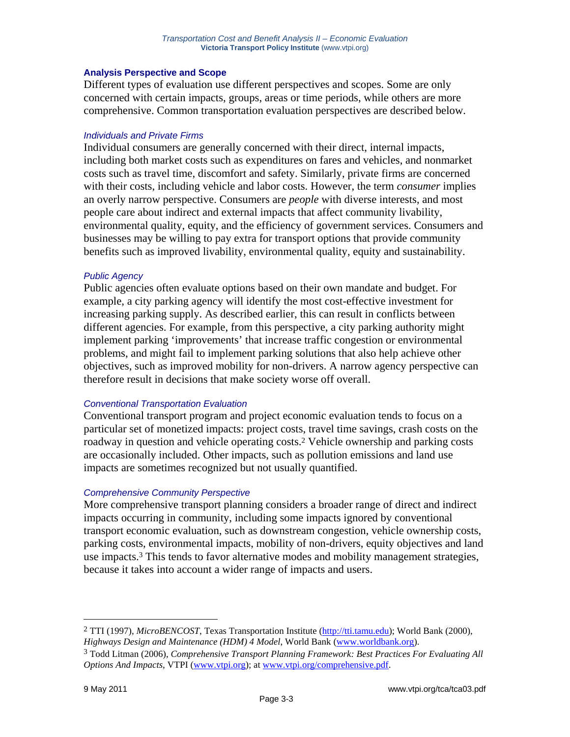## **Analysis Perspective and Scope**

Different types of evaluation use different perspectives and scopes. Some are only concerned with certain impacts, groups, areas or time periods, while others are more comprehensive. Common transportation evaluation perspectives are described below.

#### *Individuals and Private Firms*

Individual consumers are generally concerned with their direct, internal impacts, including both market costs such as expenditures on fares and vehicles, and nonmarket costs such as travel time, discomfort and safety. Similarly, private firms are concerned with their costs, including vehicle and labor costs. However, the term *consumer* implies an overly narrow perspective. Consumers are *people* with diverse interests, and most people care about indirect and external impacts that affect community livability, environmental quality, equity, and the efficiency of government services. Consumers and businesses may be willing to pay extra for transport options that provide community benefits such as improved livability, environmental quality, equity and sustainability.

## *Public Agency*

Public agencies often evaluate options based on their own mandate and budget. For example, a city parking agency will identify the most cost-effective investment for increasing parking supply. As described earlier, this can result in conflicts between different agencies. For example, from this perspective, a city parking authority might implement parking 'improvements' that increase traffic congestion or environmental problems, and might fail to implement parking solutions that also help achieve other objectives, such as improved mobility for non-drivers. A narrow agency perspective can therefore result in decisions that make society worse off overall.

#### *Conventional Transportation Evaluation*

Conventional transport program and project economic evaluation tends to focus on a particular set of monetized impacts: project costs, travel time savings, crash costs on the roadway in question and vehicle operating costs.2 Vehicle ownership and parking costs are occasionally included. Other impacts, such as pollution emissions and land use impacts are sometimes recognized but not usually quantified.

## *Comprehensive Community Perspective*

More comprehensive transport planning considers a broader range of direct and indirect impacts occurring in community, including some impacts ignored by conventional transport economic evaluation, such as downstream congestion, vehicle ownership costs, parking costs, environmental impacts, mobility of non-drivers, equity objectives and land use impacts.3 This tends to favor alternative modes and mobility management strategies, because it takes into account a wider range of impacts and users.

<sup>2</sup> TTI (1997), *MicroBENCOST*, Texas Transportation Institute (http://tti.tamu.edu); World Bank (2000), *Highways Design and Maintenance (HDM) 4 Model*, World Bank (www.worldbank.org).

<sup>3</sup> Todd Litman (2006), *Comprehensive Transport Planning Framework: Best Practices For Evaluating All Options And Impacts*, VTPI (www.vtpi.org); at www.vtpi.org/comprehensive.pdf.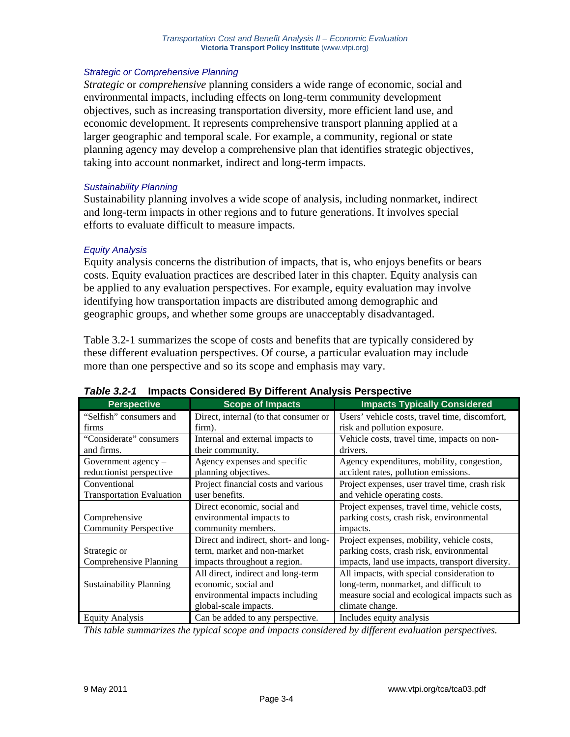## *Strategic or Comprehensive Planning*

*Strategic* or *comprehensive* planning considers a wide range of economic, social and environmental impacts, including effects on long-term community development objectives, such as increasing transportation diversity, more efficient land use, and economic development. It represents comprehensive transport planning applied at a larger geographic and temporal scale. For example, a community, regional or state planning agency may develop a comprehensive plan that identifies strategic objectives, taking into account nonmarket, indirect and long-term impacts.

## *Sustainability Planning*

Sustainability planning involves a wide scope of analysis, including nonmarket, indirect and long-term impacts in other regions and to future generations. It involves special efforts to evaluate difficult to measure impacts.

## *Equity Analysis*

Equity analysis concerns the distribution of impacts, that is, who enjoys benefits or bears costs. Equity evaluation practices are described later in this chapter. Equity analysis can be applied to any evaluation perspectives. For example, equity evaluation may involve identifying how transportation impacts are distributed among demographic and geographic groups, and whether some groups are unacceptably disadvantaged.

Table 3.2-1 summarizes the scope of costs and benefits that are typically considered by these different evaluation perspectives. Of course, a particular evaluation may include more than one perspective and so its scope and emphasis may vary.

| <b>Perspective</b>               | <b>Scope of Impacts</b>               | <b>Impacts Typically Considered</b>             |
|----------------------------------|---------------------------------------|-------------------------------------------------|
| "Selfish" consumers and          | Direct, internal (to that consumer or | Users' vehicle costs, travel time, discomfort,  |
| firms                            | firm).                                | risk and pollution exposure.                    |
| "Considerate" consumers          | Internal and external impacts to      | Vehicle costs, travel time, impacts on non-     |
| and firms.                       | their community.                      | drivers.                                        |
| Government agency $-$            | Agency expenses and specific          | Agency expenditures, mobility, congestion,      |
| reductionist perspective         | planning objectives.                  | accident rates, pollution emissions.            |
| Conventional                     | Project financial costs and various   | Project expenses, user travel time, crash risk  |
| <b>Transportation Evaluation</b> | user benefits.                        | and vehicle operating costs.                    |
|                                  | Direct economic, social and           | Project expenses, travel time, vehicle costs,   |
| Comprehensive                    | environmental impacts to              | parking costs, crash risk, environmental        |
| <b>Community Perspective</b>     | community members.                    | impacts.                                        |
|                                  | Direct and indirect, short- and long- | Project expenses, mobility, vehicle costs,      |
| Strategic or                     | term, market and non-market           | parking costs, crash risk, environmental        |
| Comprehensive Planning           | impacts throughout a region.          | impacts, land use impacts, transport diversity. |
|                                  | All direct, indirect and long-term    | All impacts, with special consideration to      |
| <b>Sustainability Planning</b>   | economic, social and                  | long-term, nonmarket, and difficult to          |
|                                  | environmental impacts including       | measure social and ecological impacts such as   |
|                                  | global-scale impacts.                 | climate change.                                 |
| <b>Equity Analysis</b>           | Can be added to any perspective.      | Includes equity analysis                        |

#### *Table 3.2-1* **Impacts Considered By Different Analysis Perspective**

*This table summarizes the typical scope and impacts considered by different evaluation perspectives.*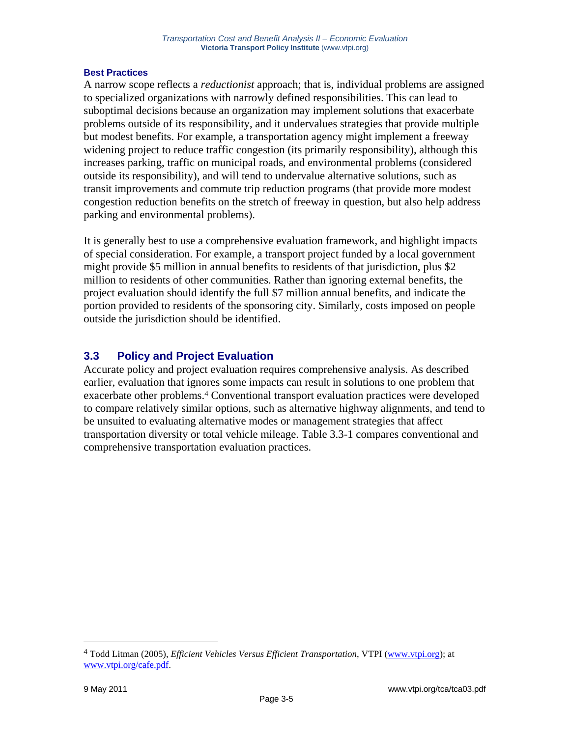## **Best Practices**

A narrow scope reflects a *reductionist* approach; that is, individual problems are assigned to specialized organizations with narrowly defined responsibilities. This can lead to suboptimal decisions because an organization may implement solutions that exacerbate problems outside of its responsibility, and it undervalues strategies that provide multiple but modest benefits. For example, a transportation agency might implement a freeway widening project to reduce traffic congestion (its primarily responsibility), although this increases parking, traffic on municipal roads, and environmental problems (considered outside its responsibility), and will tend to undervalue alternative solutions, such as transit improvements and commute trip reduction programs (that provide more modest congestion reduction benefits on the stretch of freeway in question, but also help address parking and environmental problems).

It is generally best to use a comprehensive evaluation framework, and highlight impacts of special consideration. For example, a transport project funded by a local government might provide \$5 million in annual benefits to residents of that jurisdiction, plus \$2 million to residents of other communities. Rather than ignoring external benefits, the project evaluation should identify the full \$7 million annual benefits, and indicate the portion provided to residents of the sponsoring city. Similarly, costs imposed on people outside the jurisdiction should be identified.

## **3.3 Policy and Project Evaluation**

Accurate policy and project evaluation requires comprehensive analysis. As described earlier, evaluation that ignores some impacts can result in solutions to one problem that exacerbate other problems.4 Conventional transport evaluation practices were developed to compare relatively similar options, such as alternative highway alignments, and tend to be unsuited to evaluating alternative modes or management strategies that affect transportation diversity or total vehicle mileage. Table 3.3-1 compares conventional and comprehensive transportation evaluation practices.

<sup>4</sup> Todd Litman (2005), *Efficient Vehicles Versus Efficient Transportation*, VTPI (www.vtpi.org); at www.vtpi.org/cafe.pdf.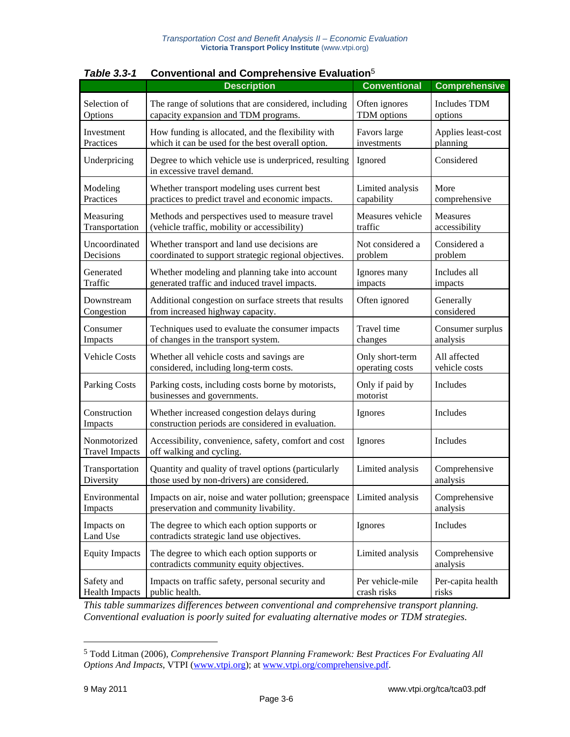|                                       | ו -ט.ט סועוט<br><b>OUTVERNOTIAL AND OUTPRENSIVE LYARANOI</b>                                     |                             |                           |  |  |  |  |
|---------------------------------------|--------------------------------------------------------------------------------------------------|-----------------------------|---------------------------|--|--|--|--|
|                                       | <b>Description</b>                                                                               | <b>Conventional</b>         | <b>Comprehensive</b>      |  |  |  |  |
| Selection of                          | The range of solutions that are considered, including                                            | Often ignores               | <b>Includes TDM</b>       |  |  |  |  |
| Options                               | capacity expansion and TDM programs.                                                             | TDM options                 | options                   |  |  |  |  |
| Investment                            | How funding is allocated, and the flexibility with                                               | Favors large                | Applies least-cost        |  |  |  |  |
| Practices                             | which it can be used for the best overall option.                                                | investments                 | planning                  |  |  |  |  |
| Underpricing                          | Degree to which vehicle use is underpriced, resulting<br>in excessive travel demand.             | Ignored                     | Considered                |  |  |  |  |
| Modeling                              | Whether transport modeling uses current best                                                     | Limited analysis            | More                      |  |  |  |  |
| Practices                             | practices to predict travel and economic impacts.                                                | capability                  | comprehensive             |  |  |  |  |
| Measuring                             | Methods and perspectives used to measure travel                                                  | Measures vehicle            | Measures                  |  |  |  |  |
| Transportation                        | (vehicle traffic, mobility or accessibility)                                                     | traffic                     | accessibility             |  |  |  |  |
| Uncoordinated                         | Whether transport and land use decisions are                                                     | Not considered a            | Considered a              |  |  |  |  |
| Decisions                             | coordinated to support strategic regional objectives.                                            | problem                     | problem                   |  |  |  |  |
| Generated                             | Whether modeling and planning take into account                                                  | Ignores many                | Includes all              |  |  |  |  |
| Traffic                               | generated traffic and induced travel impacts.                                                    | impacts                     | impacts                   |  |  |  |  |
| Downstream                            | Additional congestion on surface streets that results                                            | Often ignored               | Generally                 |  |  |  |  |
| Congestion                            | from increased highway capacity.                                                                 |                             | considered                |  |  |  |  |
| Consumer                              | Techniques used to evaluate the consumer impacts                                                 | Travel time                 | Consumer surplus          |  |  |  |  |
| Impacts                               | of changes in the transport system.                                                              | changes                     | analysis                  |  |  |  |  |
| <b>Vehicle Costs</b>                  | Whether all vehicle costs and savings are                                                        | Only short-term             | All affected              |  |  |  |  |
|                                       | considered, including long-term costs.                                                           | operating costs             | vehicle costs             |  |  |  |  |
| <b>Parking Costs</b>                  | Parking costs, including costs borne by motorists,<br>businesses and governments.                | Only if paid by<br>motorist | Includes                  |  |  |  |  |
| Construction<br>Impacts               | Whether increased congestion delays during<br>construction periods are considered in evaluation. | Ignores                     | Includes                  |  |  |  |  |
| Nonmotorized<br><b>Travel Impacts</b> | Accessibility, convenience, safety, comfort and cost<br>off walking and cycling.                 | Ignores                     | Includes                  |  |  |  |  |
| Transportation                        | Quantity and quality of travel options (particularly                                             | Limited analysis            | Comprehensive             |  |  |  |  |
| Diversity                             | those used by non-drivers) are considered.                                                       |                             | analysis                  |  |  |  |  |
| Environmental                         | Impacts on air, noise and water pollution; greenspace                                            | Limited analysis            | Comprehensive             |  |  |  |  |
| Impacts                               | preservation and community livability.                                                           |                             | analysis                  |  |  |  |  |
| Impacts on<br>Land Use                | The degree to which each option supports or<br>contradicts strategic land use objectives.        | Ignores                     | Includes                  |  |  |  |  |
| <b>Equity Impacts</b>                 | The degree to which each option supports or<br>contradicts community equity objectives.          | Limited analysis            | Comprehensive<br>analysis |  |  |  |  |
| Safety and                            | Impacts on traffic safety, personal security and                                                 | Per vehicle-mile            | Per-capita health         |  |  |  |  |
| <b>Health Impacts</b>                 | public health.                                                                                   | crash risks                 | risks                     |  |  |  |  |

*Table 3.3-1* **Conventional and Comprehensive Evaluation**<sup>5</sup>

*This table summarizes differences between conventional and comprehensive transport planning. Conventional evaluation is poorly suited for evaluating alternative modes or TDM strategies.* 

<sup>5</sup> Todd Litman (2006), *Comprehensive Transport Planning Framework: Best Practices For Evaluating All Options And Impacts*, VTPI (www.vtpi.org); at www.vtpi.org/comprehensive.pdf.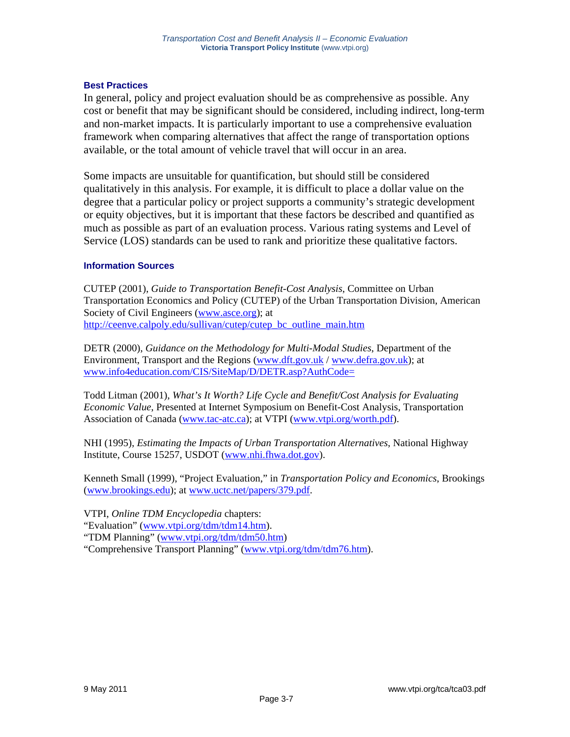## **Best Practices**

In general, policy and project evaluation should be as comprehensive as possible. Any cost or benefit that may be significant should be considered, including indirect, long-term and non-market impacts. It is particularly important to use a comprehensive evaluation framework when comparing alternatives that affect the range of transportation options available, or the total amount of vehicle travel that will occur in an area.

Some impacts are unsuitable for quantification, but should still be considered qualitatively in this analysis. For example, it is difficult to place a dollar value on the degree that a particular policy or project supports a community's strategic development or equity objectives, but it is important that these factors be described and quantified as much as possible as part of an evaluation process. Various rating systems and Level of Service (LOS) standards can be used to rank and prioritize these qualitative factors.

## **Information Sources**

CUTEP (2001), *Guide to Transportation Benefit-Cost Analysis*, Committee on Urban Transportation Economics and Policy (CUTEP) of the Urban Transportation Division, American Society of Civil Engineers (www.asce.org); at http://ceenve.calpoly.edu/sullivan/cutep/cutep\_bc\_outline\_main.htm

DETR (2000), *Guidance on the Methodology for Multi-Modal Studies*, Department of the Environment, Transport and the Regions (www.dft.gov.uk / www.defra.gov.uk); at www.info4education.com/CIS/SiteMap/D/DETR.asp?AuthCode=

Todd Litman (2001), *What's It Worth? Life Cycle and Benefit/Cost Analysis for Evaluating Economic Value*, Presented at Internet Symposium on Benefit-Cost Analysis, Transportation Association of Canada (www.tac-atc.ca); at VTPI (www.vtpi.org/worth.pdf).

NHI (1995), *Estimating the Impacts of Urban Transportation Alternatives*, National Highway Institute, Course 15257, USDOT (www.nhi.fhwa.dot.gov).

Kenneth Small (1999), "Project Evaluation," in *Transportation Policy and Economics*, Brookings (www.brookings.edu); at www.uctc.net/papers/379.pdf.

VTPI, *Online TDM Encyclopedia* chapters:

"Evaluation" (www.vtpi.org/tdm/tdm14.htm).

"TDM Planning" (www.vtpi.org/tdm/tdm50.htm)

"Comprehensive Transport Planning" (www.vtpi.org/tdm/tdm76.htm).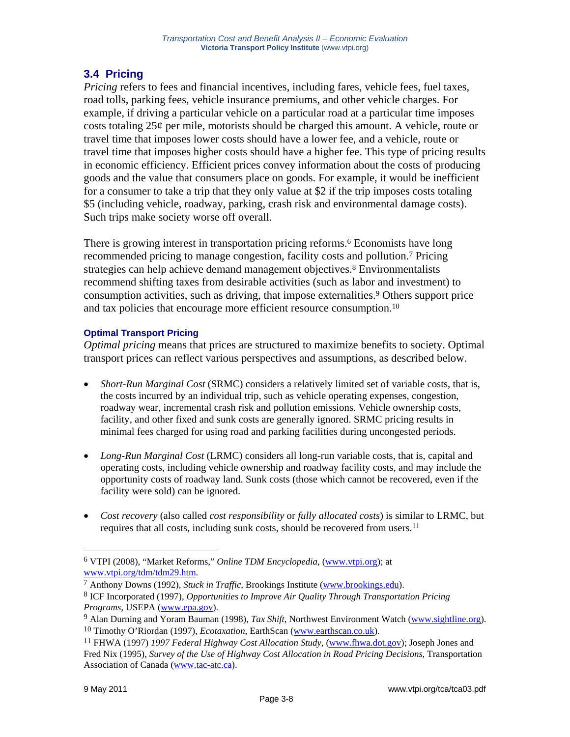# **3.4 Pricing**

*Pricing* refers to fees and financial incentives, including fares, vehicle fees, fuel taxes, road tolls, parking fees, vehicle insurance premiums, and other vehicle charges. For example, if driving a particular vehicle on a particular road at a particular time imposes costs totaling  $25¢$  per mile, motorists should be charged this amount. A vehicle, route or travel time that imposes lower costs should have a lower fee, and a vehicle, route or travel time that imposes higher costs should have a higher fee. This type of pricing results in economic efficiency. Efficient prices convey information about the costs of producing goods and the value that consumers place on goods. For example, it would be inefficient for a consumer to take a trip that they only value at \$2 if the trip imposes costs totaling \$5 (including vehicle, roadway, parking, crash risk and environmental damage costs). Such trips make society worse off overall.

There is growing interest in transportation pricing reforms.6 Economists have long recommended pricing to manage congestion, facility costs and pollution.7 Pricing strategies can help achieve demand management objectives.8 Environmentalists recommend shifting taxes from desirable activities (such as labor and investment) to consumption activities, such as driving, that impose externalities.9 Others support price and tax policies that encourage more efficient resource consumption.10

## **Optimal Transport Pricing**

*Optimal pricing* means that prices are structured to maximize benefits to society. Optimal transport prices can reflect various perspectives and assumptions, as described below.

- *Short-Run Marginal Cost* (SRMC) considers a relatively limited set of variable costs, that is, the costs incurred by an individual trip, such as vehicle operating expenses, congestion, roadway wear, incremental crash risk and pollution emissions. Vehicle ownership costs, facility, and other fixed and sunk costs are generally ignored. SRMC pricing results in minimal fees charged for using road and parking facilities during uncongested periods.
- *Long-Run Marginal Cost* (LRMC) considers all long-run variable costs, that is, capital and operating costs, including vehicle ownership and roadway facility costs, and may include the opportunity costs of roadway land. Sunk costs (those which cannot be recovered, even if the facility were sold) can be ignored.
- *Cost recovery* (also called *cost responsibility* or *fully allocated costs*) is similar to LRMC, but requires that all costs, including sunk costs, should be recovered from users.<sup>11</sup>

<sup>6</sup> VTPI (2008), "Market Reforms," *Online TDM Encyclopedia*, (www.vtpi.org); at www.vtpi.org/tdm/tdm29.htm. 7 Anthony Downs (1992), *Stuck in Traffic*, Brookings Institute (www.brookings.edu).

<sup>8</sup> ICF Incorporated (1997), *Opportunities to Improve Air Quality Through Transportation Pricing Programs*, USEPA (www.epa.gov).

<sup>9</sup> Alan Durning and Yoram Bauman (1998), *Tax Shift*, Northwest Environment Watch (www.sightline.org). 10 Timothy O'Riordan (1997), *Ecotaxation*, EarthScan (www.earthscan.co.uk).

<sup>11</sup> FHWA (1997) *1997 Federal Highway Cost Allocation Study*, (www.fhwa.dot.gov); Joseph Jones and Fred Nix (1995), *Survey of the Use of Highway Cost Allocation in Road Pricing Decisions*, Transportation Association of Canada (www.tac-atc.ca).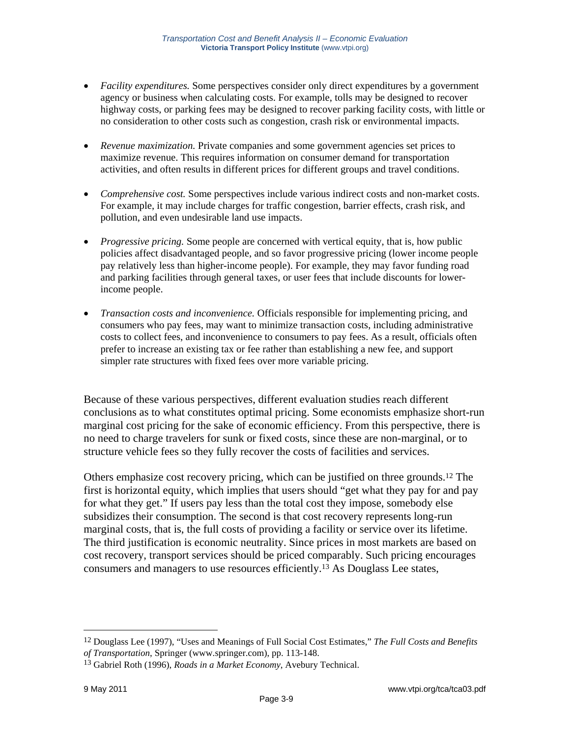- *Facility expenditures.* Some perspectives consider only direct expenditures by a government agency or business when calculating costs. For example, tolls may be designed to recover highway costs, or parking fees may be designed to recover parking facility costs, with little or no consideration to other costs such as congestion, crash risk or environmental impacts.
- *Revenue maximization.* Private companies and some government agencies set prices to maximize revenue. This requires information on consumer demand for transportation activities, and often results in different prices for different groups and travel conditions.
- *Comprehensive cost.* Some perspectives include various indirect costs and non-market costs. For example, it may include charges for traffic congestion, barrier effects, crash risk, and pollution, and even undesirable land use impacts.
- *Progressive pricing.* Some people are concerned with vertical equity, that is, how public policies affect disadvantaged people, and so favor progressive pricing (lower income people pay relatively less than higher-income people). For example, they may favor funding road and parking facilities through general taxes, or user fees that include discounts for lowerincome people.
- *Transaction costs and inconvenience.* Officials responsible for implementing pricing, and consumers who pay fees, may want to minimize transaction costs, including administrative costs to collect fees, and inconvenience to consumers to pay fees. As a result, officials often prefer to increase an existing tax or fee rather than establishing a new fee, and support simpler rate structures with fixed fees over more variable pricing.

Because of these various perspectives, different evaluation studies reach different conclusions as to what constitutes optimal pricing. Some economists emphasize short-run marginal cost pricing for the sake of economic efficiency. From this perspective, there is no need to charge travelers for sunk or fixed costs, since these are non-marginal, or to structure vehicle fees so they fully recover the costs of facilities and services.

Others emphasize cost recovery pricing, which can be justified on three grounds.12 The first is horizontal equity, which implies that users should "get what they pay for and pay for what they get." If users pay less than the total cost they impose, somebody else subsidizes their consumption. The second is that cost recovery represents long-run marginal costs, that is, the full costs of providing a facility or service over its lifetime. The third justification is economic neutrality. Since prices in most markets are based on cost recovery, transport services should be priced comparably. Such pricing encourages consumers and managers to use resources efficiently.13 As Douglass Lee states,

<sup>12</sup> Douglass Lee (1997), "Uses and Meanings of Full Social Cost Estimates," *The Full Costs and Benefits of Transportation*, Springer (www.springer.com), pp. 113-148.

<sup>13</sup> Gabriel Roth (1996), *Roads in a Market Economy*, Avebury Technical.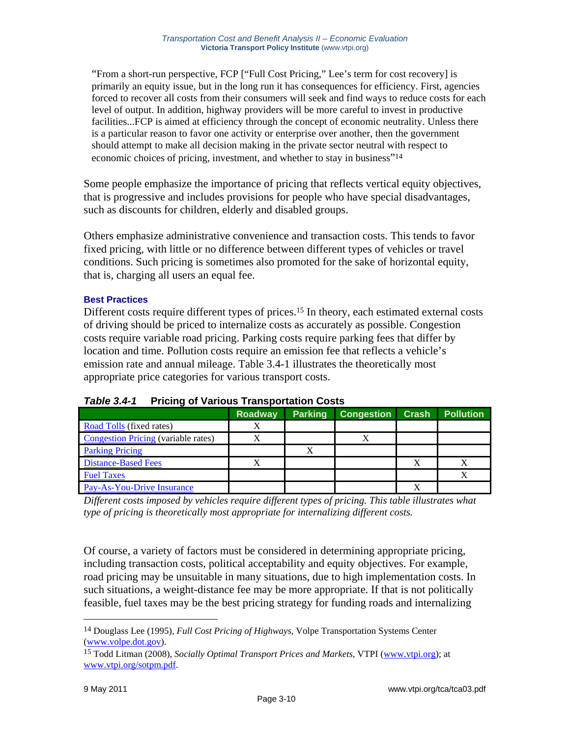"From a short-run perspective, FCP ["Full Cost Pricing," Lee's term for cost recovery] is primarily an equity issue, but in the long run it has consequences for efficiency. First, agencies forced to recover all costs from their consumers will seek and find ways to reduce costs for each level of output. In addition, highway providers will be more careful to invest in productive facilities...FCP is aimed at efficiency through the concept of economic neutrality. Unless there is a particular reason to favor one activity or enterprise over another, then the government should attempt to make all decision making in the private sector neutral with respect to economic choices of pricing, investment, and whether to stay in business"14

Some people emphasize the importance of pricing that reflects vertical equity objectives, that is progressive and includes provisions for people who have special disadvantages, such as discounts for children, elderly and disabled groups.

Others emphasize administrative convenience and transaction costs. This tends to favor fixed pricing, with little or no difference between different types of vehicles or travel conditions. Such pricing is sometimes also promoted for the sake of horizontal equity, that is, charging all users an equal fee.

## **Best Practices**

Different costs require different types of prices.<sup>15</sup> In theory, each estimated external costs of driving should be priced to internalize costs as accurately as possible. Congestion costs require variable road pricing. Parking costs require parking fees that differ by location and time. Pollution costs require an emission fee that reflects a vehicle's emission rate and annual mileage. Table 3.4-1 illustrates the theoretically most appropriate price categories for various transport costs.

|                                            | <b>Roadway</b> | <b>Parking</b> | <b>Congestion</b> | <b>Crash</b> | <b>Pollution</b> |
|--------------------------------------------|----------------|----------------|-------------------|--------------|------------------|
| <b>Road Tolls</b> (fixed rates)            | Х              |                |                   |              |                  |
| <b>Congestion Pricing</b> (variable rates) | Х              |                |                   |              |                  |
| <b>Parking Pricing</b>                     |                |                |                   |              |                  |
| <b>Distance-Based Fees</b>                 |                |                |                   |              |                  |
| <b>Fuel Taxes</b>                          |                |                |                   |              |                  |
| Pay-As-You-Drive Insurance                 |                |                |                   |              |                  |

*Table 3.4-1* **Pricing of Various Transportation Costs** 

*Different costs imposed by vehicles require different types of pricing. This table illustrates what type of pricing is theoretically most appropriate for internalizing different costs.* 

Of course, a variety of factors must be considered in determining appropriate pricing, including transaction costs, political acceptability and equity objectives. For example, road pricing may be unsuitable in many situations, due to high implementation costs. In such situations, a weight-distance fee may be more appropriate. If that is not politically feasible, fuel taxes may be the best pricing strategy for funding roads and internalizing

<sup>14</sup> Douglass Lee (1995), *Full Cost Pricing of Highways*, Volpe Transportation Systems Center (www.volpe.dot.gov).

<sup>15</sup> Todd Litman (2008), *Socially Optimal Transport Prices and Markets*, VTPI (www.vtpi.org); at www.vtpi.org/sotpm.pdf.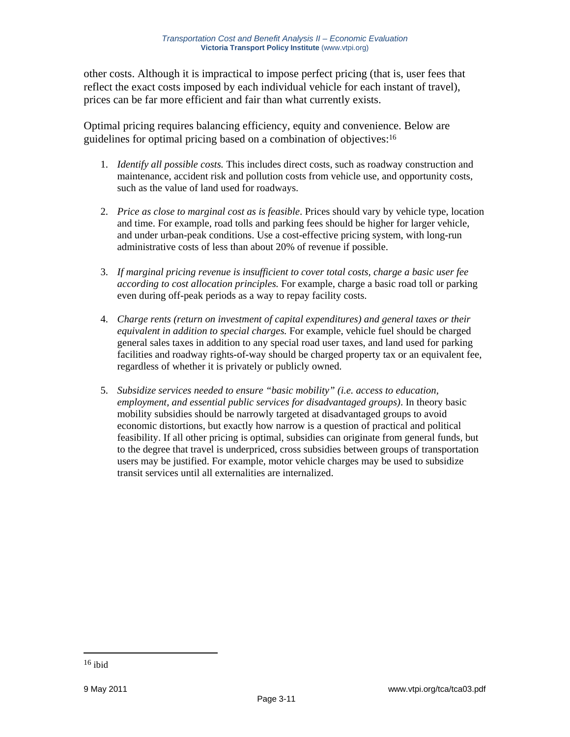other costs. Although it is impractical to impose perfect pricing (that is, user fees that reflect the exact costs imposed by each individual vehicle for each instant of travel), prices can be far more efficient and fair than what currently exists.

Optimal pricing requires balancing efficiency, equity and convenience. Below are guidelines for optimal pricing based on a combination of objectives:16

- 1. *Identify all possible costs.* This includes direct costs, such as roadway construction and maintenance, accident risk and pollution costs from vehicle use, and opportunity costs, such as the value of land used for roadways.
- 2. *Price as close to marginal cost as is feasible*. Prices should vary by vehicle type, location and time. For example, road tolls and parking fees should be higher for larger vehicle, and under urban-peak conditions. Use a cost-effective pricing system, with long-run administrative costs of less than about 20% of revenue if possible.
- 3. *If marginal pricing revenue is insufficient to cover total costs, charge a basic user fee according to cost allocation principles.* For example, charge a basic road toll or parking even during off-peak periods as a way to repay facility costs.
- 4. *Charge rents (return on investment of capital expenditures) and general taxes or their equivalent in addition to special charges.* For example, vehicle fuel should be charged general sales taxes in addition to any special road user taxes, and land used for parking facilities and roadway rights-of-way should be charged property tax or an equivalent fee, regardless of whether it is privately or publicly owned.
- 5. *Subsidize services needed to ensure "basic mobility" (i.e. access to education, employment, and essential public services for disadvantaged groups)*. In theory basic mobility subsidies should be narrowly targeted at disadvantaged groups to avoid economic distortions, but exactly how narrow is a question of practical and political feasibility. If all other pricing is optimal, subsidies can originate from general funds, but to the degree that travel is underpriced, cross subsidies between groups of transportation users may be justified. For example, motor vehicle charges may be used to subsidize transit services until all externalities are internalized.

 $16$  ibid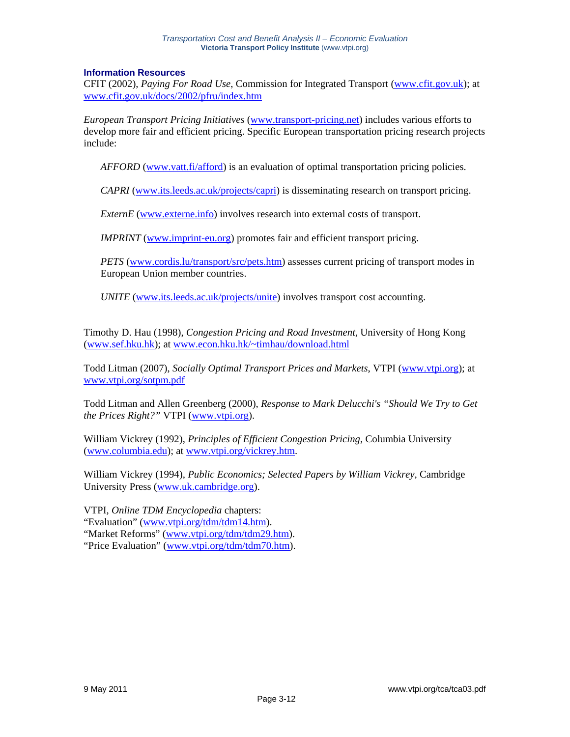#### **Information Resources**

CFIT (2002), *Paying For Road Use*, Commission for Integrated Transport (www.cfit.gov.uk); at www.cfit.gov.uk/docs/2002/pfru/index.htm

*European Transport Pricing Initiatives* (www.transport-pricing.net) includes various efforts to develop more fair and efficient pricing. Specific European transportation pricing research projects include:

*AFFORD* (www.vatt.fi/afford) is an evaluation of optimal transportation pricing policies.

*CAPRI* (www.its.leeds.ac.uk/projects/capri) is disseminating research on transport pricing.

*ExternE* (www.externe.info) involves research into external costs of transport.

*IMPRINT* (www.imprint-eu.org) promotes fair and efficient transport pricing.

*PETS* (www.cordis.lu/transport/src/pets.htm) assesses current pricing of transport modes in European Union member countries.

*UNITE* (www.its.leeds.ac.uk/projects/unite) involves transport cost accounting.

Timothy D. Hau (1998), *Congestion Pricing and Road Investment,* University of Hong Kong (www.sef.hku.hk); at www.econ.hku.hk/~timhau/download.html

Todd Litman (2007), *Socially Optimal Transport Prices and Markets*, VTPI (www.vtpi.org); at www.vtpi.org/sotpm.pdf

Todd Litman and Allen Greenberg (2000), *Response to Mark Delucchi's "Should We Try to Get the Prices Right?"* VTPI (www.vtpi.org).

William Vickrey (1992), *Principles of Efficient Congestion Pricing*, Columbia University (www.columbia.edu); at www.vtpi.org/vickrey.htm.

William Vickrey (1994), *Public Economics; Selected Papers by William Vickrey*, Cambridge University Press (www.uk.cambridge.org).

VTPI, *Online TDM Encyclopedia* chapters: "Evaluation" (www.vtpi.org/tdm/tdm14.htm). "Market Reforms" (www.vtpi.org/tdm/tdm29.htm). "Price Evaluation" (www.vtpi.org/tdm/tdm70.htm).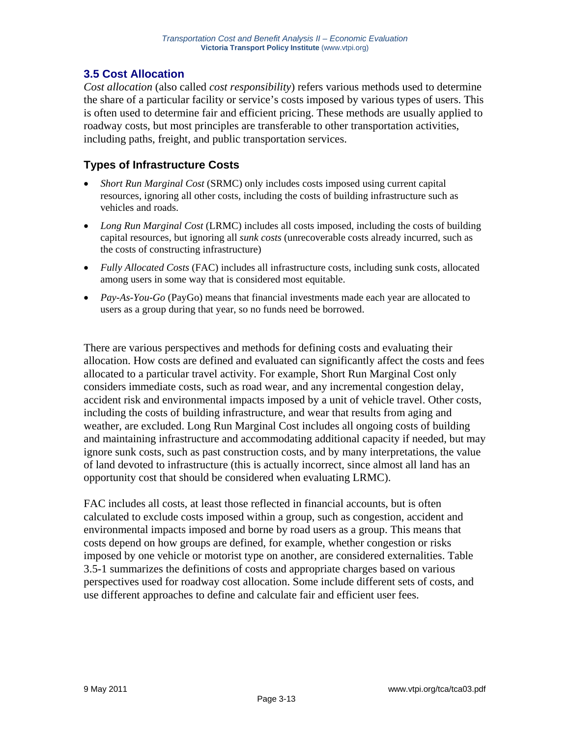# **3.5 Cost Allocation**

*Cost allocation* (also called *cost responsibility*) refers various methods used to determine the share of a particular facility or service's costs imposed by various types of users. This is often used to determine fair and efficient pricing. These methods are usually applied to roadway costs, but most principles are transferable to other transportation activities, including paths, freight, and public transportation services.

# **Types of Infrastructure Costs**

- *Short Run Marginal Cost* (SRMC) only includes costs imposed using current capital resources, ignoring all other costs, including the costs of building infrastructure such as vehicles and roads.
- *Long Run Marginal Cost* (LRMC) includes all costs imposed, including the costs of building capital resources, but ignoring all *sunk costs* (unrecoverable costs already incurred, such as the costs of constructing infrastructure)
- *Fully Allocated Costs* (FAC) includes all infrastructure costs, including sunk costs, allocated among users in some way that is considered most equitable.
- *Pay-As-You-Go* (PayGo) means that financial investments made each year are allocated to users as a group during that year, so no funds need be borrowed.

There are various perspectives and methods for defining costs and evaluating their allocation. How costs are defined and evaluated can significantly affect the costs and fees allocated to a particular travel activity. For example, Short Run Marginal Cost only considers immediate costs, such as road wear, and any incremental congestion delay, accident risk and environmental impacts imposed by a unit of vehicle travel. Other costs, including the costs of building infrastructure, and wear that results from aging and weather, are excluded. Long Run Marginal Cost includes all ongoing costs of building and maintaining infrastructure and accommodating additional capacity if needed, but may ignore sunk costs, such as past construction costs, and by many interpretations, the value of land devoted to infrastructure (this is actually incorrect, since almost all land has an opportunity cost that should be considered when evaluating LRMC).

FAC includes all costs, at least those reflected in financial accounts, but is often calculated to exclude costs imposed within a group, such as congestion, accident and environmental impacts imposed and borne by road users as a group. This means that costs depend on how groups are defined, for example, whether congestion or risks imposed by one vehicle or motorist type on another, are considered externalities. Table 3.5-1 summarizes the definitions of costs and appropriate charges based on various perspectives used for roadway cost allocation. Some include different sets of costs, and use different approaches to define and calculate fair and efficient user fees.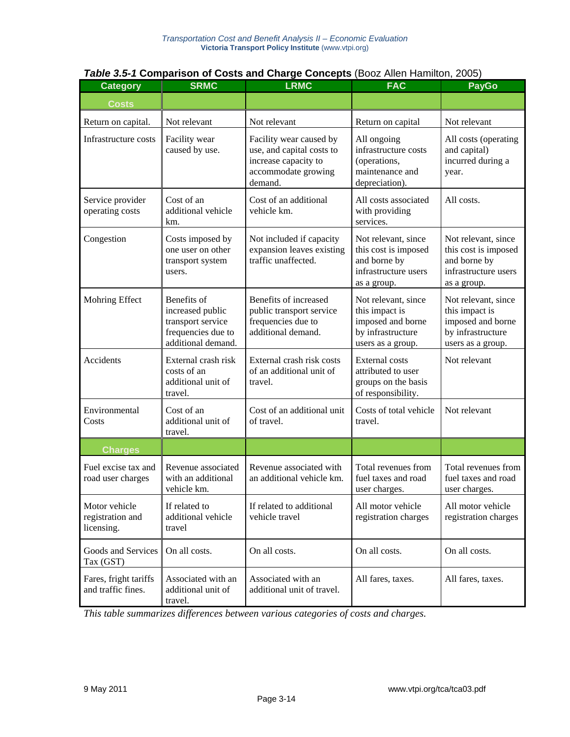| <b>Table 3.5-1 Comparison of Costs and Charge Concepts (Booz Allen Hamilton, 2005)</b> |  |
|----------------------------------------------------------------------------------------|--|
|----------------------------------------------------------------------------------------|--|

| <b>Category</b>                                 | <b>SRMC</b>                                                                                      | <b>LRMC</b>                                                                                                                                                                                                | <b>FAC</b>                                                                                           | <b>PayGo</b>                                                       |  |
|-------------------------------------------------|--------------------------------------------------------------------------------------------------|------------------------------------------------------------------------------------------------------------------------------------------------------------------------------------------------------------|------------------------------------------------------------------------------------------------------|--------------------------------------------------------------------|--|
| <b>Costs</b>                                    |                                                                                                  |                                                                                                                                                                                                            |                                                                                                      |                                                                    |  |
| Return on capital.                              | Not relevant                                                                                     | Not relevant                                                                                                                                                                                               | Return on capital                                                                                    | Not relevant                                                       |  |
| Infrastructure costs                            | Facility wear<br>caused by use.                                                                  | Facility wear caused by<br>All ongoing<br>infrastructure costs<br>use, and capital costs to<br>increase capacity to<br>(operations,<br>maintenance and<br>accommodate growing<br>demand.<br>depreciation). |                                                                                                      | All costs (operating<br>and capital)<br>incurred during a<br>year. |  |
| Service provider<br>operating costs             | Cost of an<br>additional vehicle<br>km.                                                          | Cost of an additional<br>vehicle km.                                                                                                                                                                       | All costs.<br>All costs associated<br>with providing<br>services.                                    |                                                                    |  |
| Congestion                                      | Costs imposed by<br>one user on other<br>transport system<br>users.                              | Not included if capacity<br>expansion leaves existing<br>traffic unaffected.                                                                                                                               | Not relevant, since<br>this cost is imposed<br>and borne by<br>infrastructure users<br>as a group.   |                                                                    |  |
| Mohring Effect                                  | Benefits of<br>increased public<br>transport service<br>frequencies due to<br>additional demand. | Benefits of increased<br>public transport service<br>frequencies due to<br>additional demand.                                                                                                              | Not relevant, since<br>this impact is<br>imposed and borne<br>by infrastructure<br>users as a group. |                                                                    |  |
| Accidents                                       | External crash risk<br>costs of an<br>additional unit of<br>travel.                              | External crash risk costs<br>of an additional unit of<br>travel.                                                                                                                                           | <b>External costs</b><br>attributed to user<br>groups on the basis<br>of responsibility.             | Not relevant                                                       |  |
| Environmental<br>Costs                          | Cost of an<br>additional unit of<br>travel.                                                      | Cost of an additional unit<br>of travel.                                                                                                                                                                   | Costs of total vehicle<br>travel.                                                                    | Not relevant                                                       |  |
| <b>Charges</b>                                  |                                                                                                  |                                                                                                                                                                                                            |                                                                                                      |                                                                    |  |
| Fuel excise tax and<br>road user charges        | Revenue associated<br>with an additional<br>vehicle km.                                          | Revenue associated with<br>an additional vehicle km.                                                                                                                                                       | Total revenues from<br>fuel taxes and road<br>user charges.                                          | Total revenues from<br>fuel taxes and road<br>user charges.        |  |
| Motor vehicle<br>registration and<br>licensing. | If related to<br>additional vehicle<br>travel                                                    | If related to additional<br>vehicle travel                                                                                                                                                                 | All motor vehicle<br>registration charges                                                            | All motor vehicle<br>registration charges                          |  |
| Goods and Services<br>Tax (GST)                 | On all costs.                                                                                    | On all costs.                                                                                                                                                                                              | On all costs.                                                                                        | On all costs.                                                      |  |
| Fares, fright tariffs<br>and traffic fines.     | Associated with an<br>additional unit of<br>travel.                                              | Associated with an<br>additional unit of travel.                                                                                                                                                           | All fares, taxes.                                                                                    | All fares, taxes.                                                  |  |

*This table summarizes differences between various categories of costs and charges.*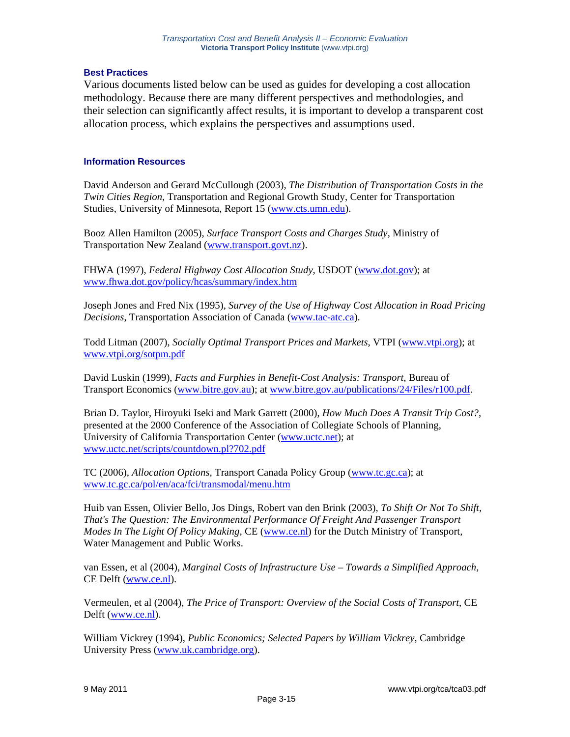#### **Best Practices**

Various documents listed below can be used as guides for developing a cost allocation methodology. Because there are many different perspectives and methodologies, and their selection can significantly affect results, it is important to develop a transparent cost allocation process, which explains the perspectives and assumptions used.

## **Information Resources**

David Anderson and Gerard McCullough (2003), *The Distribution of Transportation Costs in the Twin Cities Region*, Transportation and Regional Growth Study, Center for Transportation Studies, University of Minnesota, Report 15 (www.cts.umn.edu).

Booz Allen Hamilton (2005), *Surface Transport Costs and Charges Study*, Ministry of Transportation New Zealand (www.transport.govt.nz).

FHWA (1997), *Federal Highway Cost Allocation Study*, USDOT (www.dot.gov); at www.fhwa.dot.gov/policy/hcas/summary/index.htm

Joseph Jones and Fred Nix (1995), *Survey of the Use of Highway Cost Allocation in Road Pricing Decisions*, Transportation Association of Canada (www.tac-atc.ca).

Todd Litman (2007), *Socially Optimal Transport Prices and Markets*, VTPI (www.vtpi.org); at www.vtpi.org/sotpm.pdf

David Luskin (1999), *Facts and Furphies in Benefit-Cost Analysis: Transport*, Bureau of Transport Economics (www.bitre.gov.au); at www.bitre.gov.au/publications/24/Files/r100.pdf.

Brian D. Taylor, Hiroyuki Iseki and Mark Garrett (2000), *How Much Does A Transit Trip Cost?*, presented at the 2000 Conference of the Association of Collegiate Schools of Planning, University of California Transportation Center (www.uctc.net); at www.uctc.net/scripts/countdown.pl?702.pdf

TC (2006), *Allocation Options*, Transport Canada Policy Group (www.tc.gc.ca); at www.tc.gc.ca/pol/en/aca/fci/transmodal/menu.htm

Huib van Essen, Olivier Bello, Jos Dings, Robert van den Brink (2003), *To Shift Or Not To Shift, That's The Question: The Environmental Performance Of Freight And Passenger Transport Modes In The Light Of Policy Making*, CE (www.ce.nl) for the Dutch Ministry of Transport, Water Management and Public Works.

van Essen, et al (2004), *Marginal Costs of Infrastructure Use – Towards a Simplified Approach*, CE Delft (www.ce.nl).

Vermeulen, et al (2004), *The Price of Transport: Overview of the Social Costs of Transport*, CE Delft (www.ce.nl).

William Vickrey (1994), *Public Economics; Selected Papers by William Vickrey*, Cambridge University Press (www.uk.cambridge.org).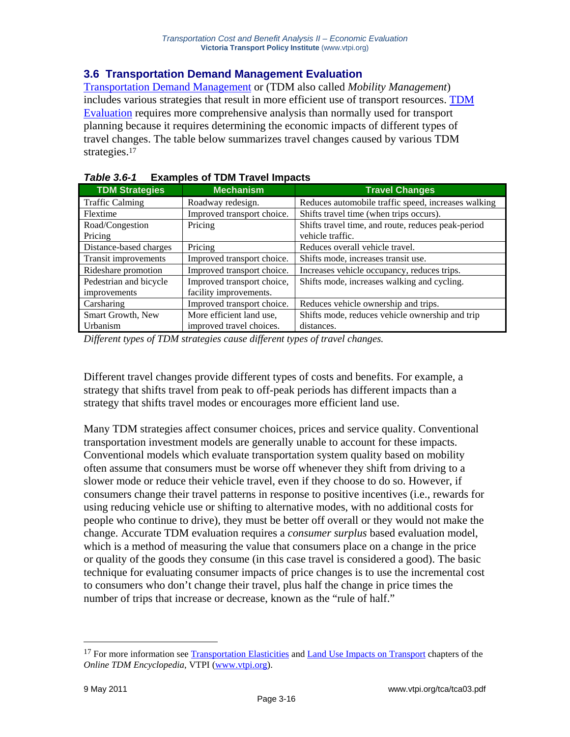## **3.6 Transportation Demand Management Evaluation**

Transportation Demand Management or (TDM also called *Mobility Management*) includes various strategies that result in more efficient use of transport resources. TDM Evaluation requires more comprehensive analysis than normally used for transport planning because it requires determining the economic impacts of different types of travel changes. The table below summarizes travel changes caused by various TDM strategies.17

| <b>TDM Strategies</b>  | <b>Mechanism</b>           | <b>Travel Changes</b>                               |
|------------------------|----------------------------|-----------------------------------------------------|
| <b>Traffic Calming</b> | Roadway redesign.          | Reduces automobile traffic speed, increases walking |
| Flextime               | Improved transport choice. | Shifts travel time (when trips occurs).             |
| Road/Congestion        | Pricing                    | Shifts travel time, and route, reduces peak-period  |
| Pricing                |                            | vehicle traffic.                                    |
| Distance-based charges | Pricing                    | Reduces overall vehicle travel.                     |
| Transit improvements   | Improved transport choice. | Shifts mode, increases transit use.                 |
| Rideshare promotion    | Improved transport choice. | Increases vehicle occupancy, reduces trips.         |
| Pedestrian and bicycle | Improved transport choice, | Shifts mode, increases walking and cycling.         |
| improvements           | facility improvements.     |                                                     |
| Carsharing             | Improved transport choice. | Reduces vehicle ownership and trips.                |
| Smart Growth, New      | More efficient land use,   | Shifts mode, reduces vehicle ownership and trip     |
| Urbanism               | improved travel choices.   | distances.                                          |

| <b>Table 3.6-1</b> | <b>Examples of TDM Travel Impacts</b> |
|--------------------|---------------------------------------|
|--------------------|---------------------------------------|

*Different types of TDM strategies cause different types of travel changes.* 

Different travel changes provide different types of costs and benefits. For example, a strategy that shifts travel from peak to off-peak periods has different impacts than a strategy that shifts travel modes or encourages more efficient land use.

Many TDM strategies affect consumer choices, prices and service quality. Conventional transportation investment models are generally unable to account for these impacts. Conventional models which evaluate transportation system quality based on mobility often assume that consumers must be worse off whenever they shift from driving to a slower mode or reduce their vehicle travel, even if they choose to do so. However, if consumers change their travel patterns in response to positive incentives (i.e., rewards for using reducing vehicle use or shifting to alternative modes, with no additional costs for people who continue to drive), they must be better off overall or they would not make the change. Accurate TDM evaluation requires a *consumer surplus* based evaluation model, which is a method of measuring the value that consumers place on a change in the price or quality of the goods they consume (in this case travel is considered a good). The basic technique for evaluating consumer impacts of price changes is to use the incremental cost to consumers who don't change their travel, plus half the change in price times the number of trips that increase or decrease, known as the "rule of half."

<sup>&</sup>lt;sup>17</sup> For more information see Transportation Elasticities and Land Use Impacts on Transport chapters of the *Online TDM Encyclopedia*, VTPI (www.vtpi.org).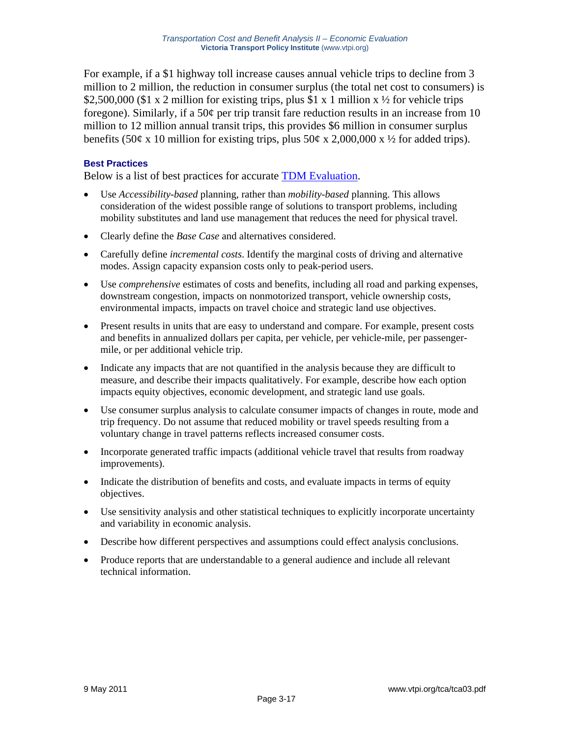For example, if a \$1 highway toll increase causes annual vehicle trips to decline from 3 million to 2 million, the reduction in consumer surplus (the total net cost to consumers) is \$2,500,000 (\$1 x 2 million for existing trips, plus \$1 x 1 million x  $\frac{1}{2}$  for vehicle trips foregone). Similarly, if a 50¢ per trip transit fare reduction results in an increase from 10 million to 12 million annual transit trips, this provides \$6 million in consumer surplus benefits (50¢ x 10 million for existing trips, plus 50¢ x 2,000,000 x  $\frac{1}{2}$  for added trips).

## **Best Practices**

Below is a list of best practices for accurate TDM Evaluation.

- Use *Accessibility-based* planning, rather than *mobility-based* planning. This allows consideration of the widest possible range of solutions to transport problems, including mobility substitutes and land use management that reduces the need for physical travel.
- Clearly define the *Base Case* and alternatives considered.
- Carefully define *incremental costs*. Identify the marginal costs of driving and alternative modes. Assign capacity expansion costs only to peak-period users.
- Use *comprehensive* estimates of costs and benefits, including all road and parking expenses, downstream congestion, impacts on nonmotorized transport, vehicle ownership costs, environmental impacts, impacts on travel choice and strategic land use objectives.
- Present results in units that are easy to understand and compare. For example, present costs and benefits in annualized dollars per capita, per vehicle, per vehicle-mile, per passengermile, or per additional vehicle trip.
- Indicate any impacts that are not quantified in the analysis because they are difficult to measure, and describe their impacts qualitatively. For example, describe how each option impacts equity objectives, economic development, and strategic land use goals.
- Use consumer surplus analysis to calculate consumer impacts of changes in route, mode and trip frequency. Do not assume that reduced mobility or travel speeds resulting from a voluntary change in travel patterns reflects increased consumer costs.
- Incorporate generated traffic impacts (additional vehicle travel that results from roadway improvements).
- Indicate the distribution of benefits and costs, and evaluate impacts in terms of equity objectives.
- Use sensitivity analysis and other statistical techniques to explicitly incorporate uncertainty and variability in economic analysis.
- Describe how different perspectives and assumptions could effect analysis conclusions.
- Produce reports that are understandable to a general audience and include all relevant technical information.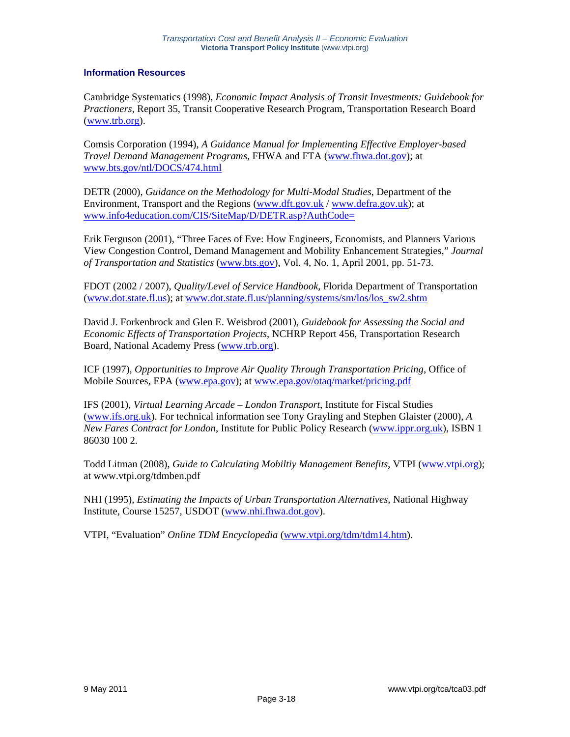#### **Information Resources**

Cambridge Systematics (1998), *Economic Impact Analysis of Transit Investments: Guidebook for Practioners*, Report 35, Transit Cooperative Research Program, Transportation Research Board (www.trb.org).

Comsis Corporation (1994), *A Guidance Manual for Implementing Effective Employer-based Travel Demand Management Programs*, FHWA and FTA (www.fhwa.dot.gov); at www.bts.gov/ntl/DOCS/474.html

DETR (2000), *Guidance on the Methodology for Multi-Modal Studies*, Department of the Environment, Transport and the Regions (www.dft.gov.uk / www.defra.gov.uk); at www.info4education.com/CIS/SiteMap/D/DETR.asp?AuthCode=

Erik Ferguson (2001), "Three Faces of Eve: How Engineers, Economists, and Planners Various View Congestion Control, Demand Management and Mobility Enhancement Strategies," *Journal of Transportation and Statistics* (www.bts.gov), Vol. 4, No. 1, April 2001, pp. 51-73.

FDOT (2002 / 2007), *Quality/Level of Service Handbook*, Florida Department of Transportation (www.dot.state.fl.us); at www.dot.state.fl.us/planning/systems/sm/los/los\_sw2.shtm

David J. Forkenbrock and Glen E. Weisbrod (2001), *Guidebook for Assessing the Social and Economic Effects of Transportation Projects*, NCHRP Report 456, Transportation Research Board, National Academy Press (www.trb.org).

ICF (1997), *Opportunities to Improve Air Quality Through Transportation Pricing*, Office of Mobile Sources, EPA (www.epa.gov); at www.epa.gov/otaq/market/pricing.pdf

IFS (2001), *Virtual Learning Arcade – London Transport*, Institute for Fiscal Studies (www.ifs.org.uk). For technical information see Tony Grayling and Stephen Glaister (2000), *A New Fares Contract for London*, Institute for Public Policy Research (www.ippr.org.uk), ISBN 1 86030 100 2.

Todd Litman (2008), *Guide to Calculating Mobiltiy Management Benefits*, VTPI (www.vtpi.org); at www.vtpi.org/tdmben.pdf

NHI (1995), *Estimating the Impacts of Urban Transportation Alternatives*, National Highway Institute, Course 15257, USDOT (www.nhi.fhwa.dot.gov).

VTPI, "Evaluation" *Online TDM Encyclopedia* (www.vtpi.org/tdm/tdm14.htm).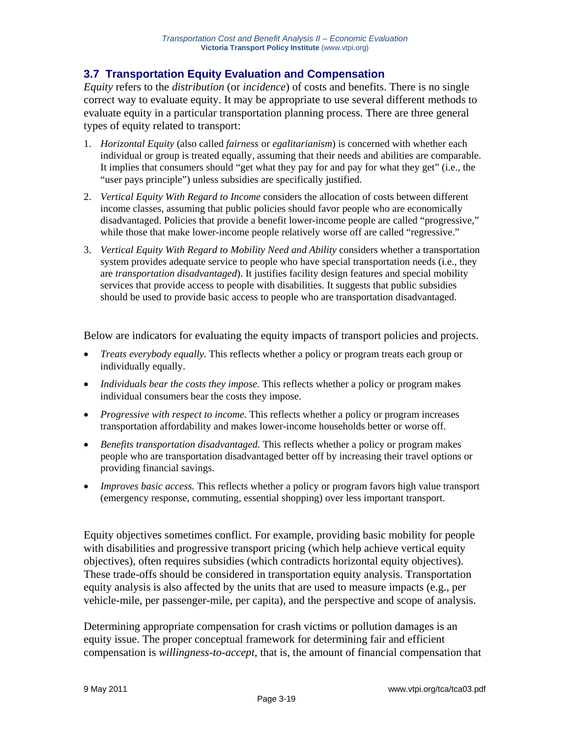# **3.7 Transportation Equity Evaluation and Compensation**

*Equity* refers to the *distribution* (or *incidence*) of costs and benefits. There is no single correct way to evaluate equity. It may be appropriate to use several different methods to evaluate equity in a particular transportation planning process. There are three general types of equity related to transport:

- 1. *Horizontal Equity* (also called *fairness* or *egalitarianism*) is concerned with whether each individual or group is treated equally, assuming that their needs and abilities are comparable. It implies that consumers should "get what they pay for and pay for what they get" (i.e., the "user pays principle") unless subsidies are specifically justified.
- 2. *Vertical Equity With Regard to Income* considers the allocation of costs between different income classes, assuming that public policies should favor people who are economically disadvantaged. Policies that provide a benefit lower-income people are called "progressive," while those that make lower-income people relatively worse off are called "regressive."
- 3. *Vertical Equity With Regard to Mobility Need and Ability* considers whether a transportation system provides adequate service to people who have special transportation needs (i.e., they are *transportation disadvantaged*). It justifies facility design features and special mobility services that provide access to people with disabilities. It suggests that public subsidies should be used to provide basic access to people who are transportation disadvantaged.

Below are indicators for evaluating the equity impacts of transport policies and projects.

- *Treats everybody equally.* This reflects whether a policy or program treats each group or individually equally.
- *Individuals bear the costs they impose*. This reflects whether a policy or program makes individual consumers bear the costs they impose.
- *Progressive with respect to income.* This reflects whether a policy or program increases transportation affordability and makes lower-income households better or worse off.
- *Benefits transportation disadvantaged.* This reflects whether a policy or program makes people who are transportation disadvantaged better off by increasing their travel options or providing financial savings.
- *Improves basic access.* This reflects whether a policy or program favors high value transport (emergency response, commuting, essential shopping) over less important transport.

Equity objectives sometimes conflict. For example, providing basic mobility for people with disabilities and progressive transport pricing (which help achieve vertical equity objectives), often requires subsidies (which contradicts horizontal equity objectives). These trade-offs should be considered in transportation equity analysis. Transportation equity analysis is also affected by the units that are used to measure impacts (e.g., per vehicle-mile, per passenger-mile, per capita), and the perspective and scope of analysis.

Determining appropriate compensation for crash victims or pollution damages is an equity issue. The proper conceptual framework for determining fair and efficient compensation is *willingness-to-accept*, that is, the amount of financial compensation that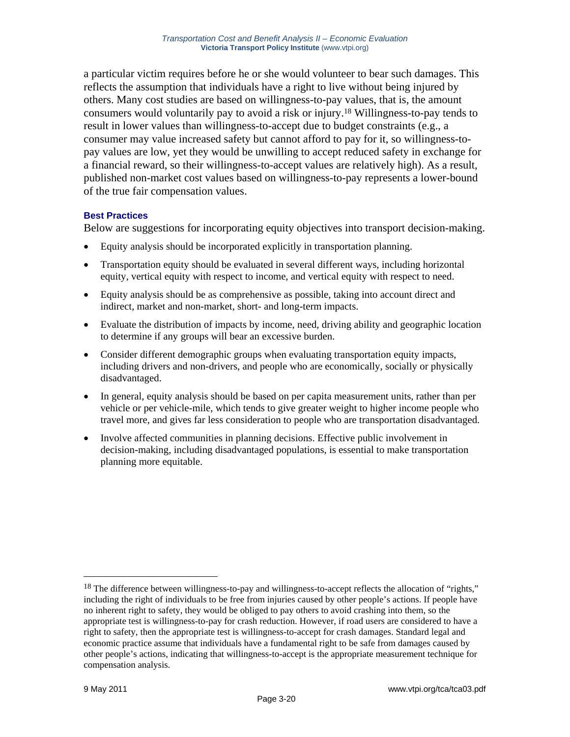a particular victim requires before he or she would volunteer to bear such damages. This reflects the assumption that individuals have a right to live without being injured by others. Many cost studies are based on willingness-to-pay values, that is, the amount consumers would voluntarily pay to avoid a risk or injury.18 Willingness-to-pay tends to result in lower values than willingness-to-accept due to budget constraints (e.g., a consumer may value increased safety but cannot afford to pay for it, so willingness-topay values are low, yet they would be unwilling to accept reduced safety in exchange for a financial reward, so their willingness-to-accept values are relatively high). As a result, published non-market cost values based on willingness-to-pay represents a lower-bound of the true fair compensation values.

## **Best Practices**

Below are suggestions for incorporating equity objectives into transport decision-making.

- Equity analysis should be incorporated explicitly in transportation planning.
- Transportation equity should be evaluated in several different ways, including horizontal equity, vertical equity with respect to income, and vertical equity with respect to need.
- Equity analysis should be as comprehensive as possible, taking into account direct and indirect, market and non-market, short- and long-term impacts.
- Evaluate the distribution of impacts by income, need, driving ability and geographic location to determine if any groups will bear an excessive burden.
- Consider different demographic groups when evaluating transportation equity impacts, including drivers and non-drivers, and people who are economically, socially or physically disadvantaged.
- In general, equity analysis should be based on per capita measurement units, rather than per vehicle or per vehicle-mile, which tends to give greater weight to higher income people who travel more, and gives far less consideration to people who are transportation disadvantaged.
- Involve affected communities in planning decisions. Effective public involvement in decision-making, including disadvantaged populations, is essential to make transportation planning more equitable.

<sup>&</sup>lt;sup>18</sup> The difference between willingness-to-pay and willingness-to-accept reflects the allocation of "rights," including the right of individuals to be free from injuries caused by other people's actions. If people have no inherent right to safety, they would be obliged to pay others to avoid crashing into them, so the appropriate test is willingness-to-pay for crash reduction. However, if road users are considered to have a right to safety, then the appropriate test is willingness-to-accept for crash damages. Standard legal and economic practice assume that individuals have a fundamental right to be safe from damages caused by other people's actions, indicating that willingness-to-accept is the appropriate measurement technique for compensation analysis.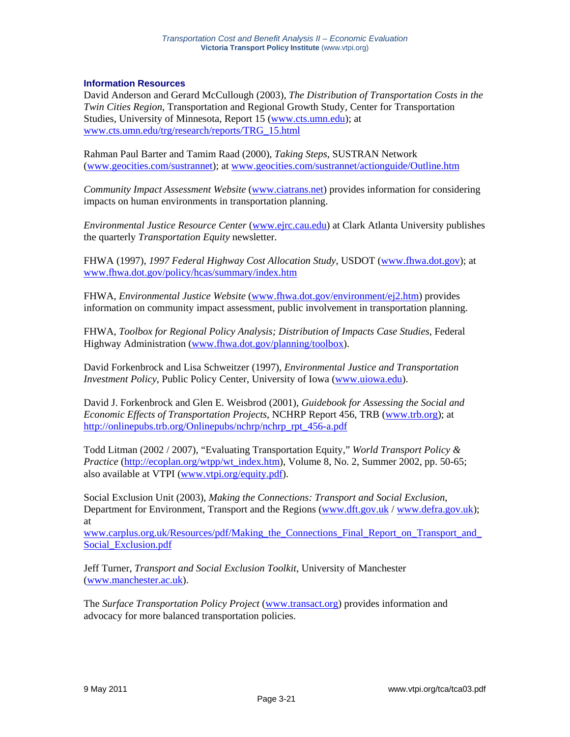#### **Information Resources**

David Anderson and Gerard McCullough (2003), *The Distribution of Transportation Costs in the Twin Cities Region*, Transportation and Regional Growth Study, Center for Transportation Studies, University of Minnesota, Report 15 (www.cts.umn.edu); at www.cts.umn.edu/trg/research/reports/TRG\_15.html

Rahman Paul Barter and Tamim Raad (2000), *Taking Steps*, SUSTRAN Network (www.geocities.com/sustrannet); at www.geocities.com/sustrannet/actionguide/Outline.htm

*Community Impact Assessment Website* (www.ciatrans.net) provides information for considering impacts on human environments in transportation planning.

*Environmental Justice Resource Center* (www.ejrc.cau.edu) at Clark Atlanta University publishes the quarterly *Transportation Equity* newsletter.

FHWA (1997), *1997 Federal Highway Cost Allocation Study*, USDOT (www.fhwa.dot.gov); at www.fhwa.dot.gov/policy/hcas/summary/index.htm

FHWA, *Environmental Justice Website* (www.fhwa.dot.gov/environment/ej2.htm) provides information on community impact assessment, public involvement in transportation planning.

FHWA, *Toolbox for Regional Policy Analysis; Distribution of Impacts Case Studies*, Federal Highway Administration (www.fhwa.dot.gov/planning/toolbox).

David Forkenbrock and Lisa Schweitzer (1997), *Environmental Justice and Transportation Investment Policy*, Public Policy Center, University of Iowa (www.uiowa.edu).

David J. Forkenbrock and Glen E. Weisbrod (2001), *Guidebook for Assessing the Social and Economic Effects of Transportation Projects*, NCHRP Report 456, TRB (www.trb.org); at http://onlinepubs.trb.org/Onlinepubs/nchrp/nchrp\_rpt\_456-a.pdf

Todd Litman (2002 / 2007), "Evaluating Transportation Equity," *World Transport Policy & Practice* (http://ecoplan.org/wtpp/wt\_index.htm), Volume 8, No. 2, Summer 2002, pp. 50-65; also available at VTPI (www.vtpi.org/equity.pdf).

Social Exclusion Unit (2003), *Making the Connections: Transport and Social Exclusion*, Department for Environment, Transport and the Regions (www.dft.gov.uk/www.defra.gov.uk); at

www.carplus.org.uk/Resources/pdf/Making\_the\_Connections\_Final\_Report\_on\_Transport\_and\_ Social\_Exclusion.pdf

Jeff Turner, *Transport and Social Exclusion Toolkit*, University of Manchester (www.manchester.ac.uk).

The *Surface Transportation Policy Project* (www.transact.org) provides information and advocacy for more balanced transportation policies.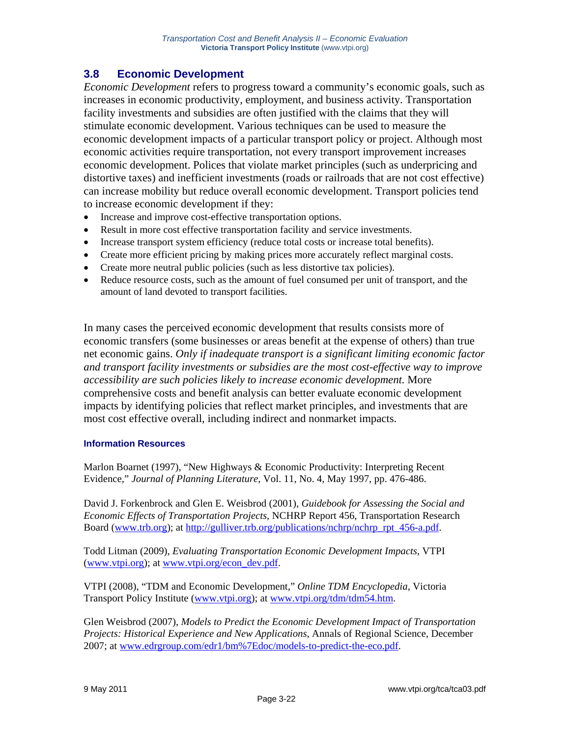# **3.8 Economic Development**

*Economic Development* refers to progress toward a community's economic goals, such as increases in economic productivity, employment, and business activity. Transportation facility investments and subsidies are often justified with the claims that they will stimulate economic development. Various techniques can be used to measure the economic development impacts of a particular transport policy or project. Although most economic activities require transportation, not every transport improvement increases economic development. Polices that violate market principles (such as underpricing and distortive taxes) and inefficient investments (roads or railroads that are not cost effective) can increase mobility but reduce overall economic development. Transport policies tend to increase economic development if they:

- Increase and improve cost-effective transportation options.
- Result in more cost effective transportation facility and service investments.
- Increase transport system efficiency (reduce total costs or increase total benefits).
- Create more efficient pricing by making prices more accurately reflect marginal costs.
- Create more neutral public policies (such as less distortive tax policies).
- Reduce resource costs, such as the amount of fuel consumed per unit of transport, and the amount of land devoted to transport facilities.

In many cases the perceived economic development that results consists more of economic transfers (some businesses or areas benefit at the expense of others) than true net economic gains. *Only if inadequate transport is a significant limiting economic factor and transport facility investments or subsidies are the most cost-effective way to improve accessibility are such policies likely to increase economic development.* More comprehensive costs and benefit analysis can better evaluate economic development impacts by identifying policies that reflect market principles, and investments that are most cost effective overall, including indirect and nonmarket impacts.

## **Information Resources**

Marlon Boarnet (1997), "New Highways & Economic Productivity: Interpreting Recent Evidence," *Journal of Planning Literature*, Vol. 11, No. 4, May 1997, pp. 476-486.

David J. Forkenbrock and Glen E. Weisbrod (2001), *Guidebook for Assessing the Social and Economic Effects of Transportation Projects*, NCHRP Report 456, Transportation Research Board (www.trb.org); at http://gulliver.trb.org/publications/nchrp/nchrp\_rpt\_456-a.pdf.

Todd Litman (2009), *Evaluating Transportation Economic Development Impacts*, VTPI (www.vtpi.org); at www.vtpi.org/econ\_dev.pdf.

VTPI (2008), "TDM and Economic Development," *Online TDM Encyclopedia*, Victoria Transport Policy Institute (www.vtpi.org); at www.vtpi.org/tdm/tdm54.htm.

Glen Weisbrod (2007), *Models to Predict the Economic Development Impact of Transportation Projects: Historical Experience and New Applications*, Annals of Regional Science, December 2007; at www.edrgroup.com/edr1/bm%7Edoc/models-to-predict-the-eco.pdf.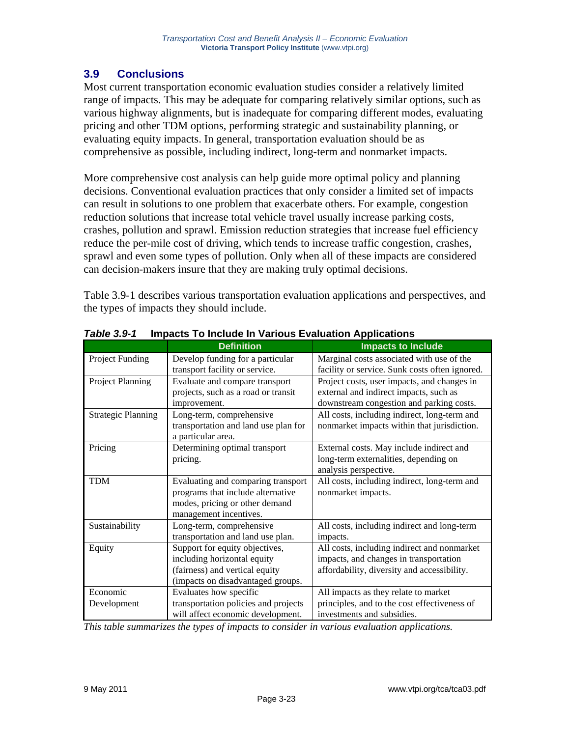# **3.9 Conclusions**

Most current transportation economic evaluation studies consider a relatively limited range of impacts. This may be adequate for comparing relatively similar options, such as various highway alignments, but is inadequate for comparing different modes, evaluating pricing and other TDM options, performing strategic and sustainability planning, or evaluating equity impacts. In general, transportation evaluation should be as comprehensive as possible, including indirect, long-term and nonmarket impacts.

More comprehensive cost analysis can help guide more optimal policy and planning decisions. Conventional evaluation practices that only consider a limited set of impacts can result in solutions to one problem that exacerbate others. For example, congestion reduction solutions that increase total vehicle travel usually increase parking costs, crashes, pollution and sprawl. Emission reduction strategies that increase fuel efficiency reduce the per-mile cost of driving, which tends to increase traffic congestion, crashes, sprawl and even some types of pollution. Only when all of these impacts are considered can decision-makers insure that they are making truly optimal decisions.

Table 3.9-1 describes various transportation evaluation applications and perspectives, and the types of impacts they should include.

|                           | <b>Definition</b>                    | <b>Impacts to Include</b>                      |
|---------------------------|--------------------------------------|------------------------------------------------|
| Project Funding           | Develop funding for a particular     | Marginal costs associated with use of the      |
|                           | transport facility or service.       | facility or service. Sunk costs often ignored. |
| Project Planning          | Evaluate and compare transport       | Project costs, user impacts, and changes in    |
|                           | projects, such as a road or transit  | external and indirect impacts, such as         |
|                           | improvement.                         | downstream congestion and parking costs.       |
| <b>Strategic Planning</b> | Long-term, comprehensive             | All costs, including indirect, long-term and   |
|                           | transportation and land use plan for | nonmarket impacts within that jurisdiction.    |
|                           | a particular area.                   |                                                |
| Pricing                   | Determining optimal transport        | External costs. May include indirect and       |
|                           | pricing.                             | long-term externalities, depending on          |
|                           |                                      | analysis perspective.                          |
| <b>TDM</b>                | Evaluating and comparing transport   | All costs, including indirect, long-term and   |
|                           | programs that include alternative    | nonmarket impacts.                             |
|                           | modes, pricing or other demand       |                                                |
|                           | management incentives.               |                                                |
| Sustainability            | Long-term, comprehensive             | All costs, including indirect and long-term    |
|                           | transportation and land use plan.    | impacts.                                       |
| Equity                    | Support for equity objectives,       | All costs, including indirect and nonmarket    |
|                           | including horizontal equity          | impacts, and changes in transportation         |
|                           | (fairness) and vertical equity       | affordability, diversity and accessibility.    |
|                           | (impacts on disadvantaged groups.    |                                                |
| Economic                  | Evaluates how specific               | All impacts as they relate to market           |
| Development               | transportation policies and projects | principles, and to the cost effectiveness of   |
|                           | will affect economic development.    | investments and subsidies.                     |

*Table 3.9-1* **Impacts To Include In Various Evaluation Applications** 

*This table summarizes the types of impacts to consider in various evaluation applications.*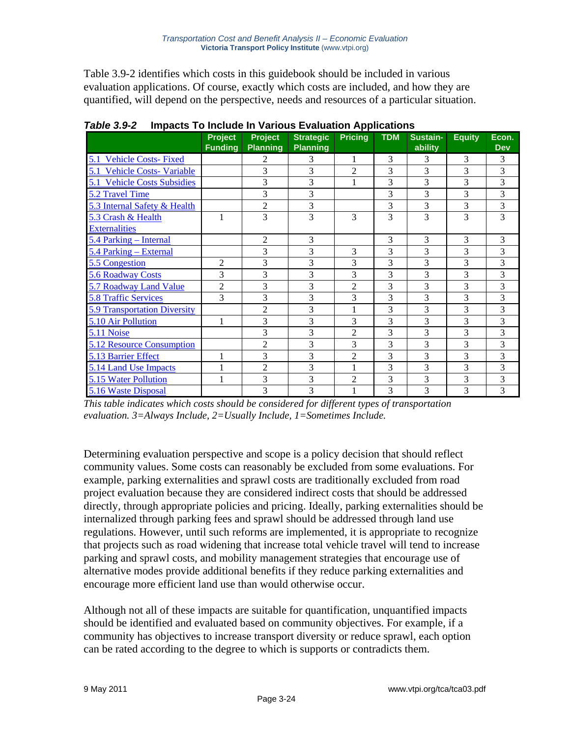Table 3.9-2 identifies which costs in this guidebook should be included in various evaluation applications. Of course, exactly which costs are included, and how they are quantified, will depend on the perspective, needs and resources of a particular situation.

|                                     | Project<br><b>Funding</b> | <b>Project</b><br><b>Planning</b> | <b>Strategic</b><br><b>Planning</b> | <b>Pricing</b> | <b>TDM</b> | Sustain-<br>ability | <b>Equity</b> | Econ.<br><b>Dev</b> |
|-------------------------------------|---------------------------|-----------------------------------|-------------------------------------|----------------|------------|---------------------|---------------|---------------------|
| 5.1 Vehicle Costs- Fixed            |                           | 2                                 | 3                                   | 1              | 3          | 3                   | 3             | 3                   |
| 5.1 Vehicle Costs- Variable         |                           | 3                                 | 3                                   | $\overline{c}$ | 3          | 3                   | 3             | 3                   |
| 5.1 Vehicle Costs Subsidies         |                           | 3                                 | 3                                   |                | 3          | 3                   | 3             | 3                   |
| 5.2 Travel Time                     |                           | 3                                 | 3                                   |                | 3          | 3                   | 3             | 3                   |
| 5.3 Internal Safety & Health        |                           | $\overline{2}$                    | 3                                   |                | 3          | 3                   | 3             | 3                   |
| 5.3 Crash & Health                  | 1                         | 3                                 | 3                                   | 3              | 3          | 3                   | 3             | 3                   |
| <b>Externalities</b>                |                           |                                   |                                     |                |            |                     |               |                     |
| 5.4 Parking – Internal              |                           | $\overline{c}$                    | 3                                   |                | 3          | 3                   | 3             | 3                   |
| 5.4 Parking – External              |                           | 3                                 | 3                                   | 3              | 3          | 3                   | 3             | 3                   |
| 5.5 Congestion                      | $\mathfrak{2}$            | 3                                 | 3                                   | 3              | 3          | 3                   | 3             | 3                   |
| 5.6 Roadway Costs                   | 3                         | 3                                 | 3                                   | 3              | 3          | 3                   | 3             | 3                   |
| 5.7 Roadway Land Value              | $\overline{2}$            | 3                                 | 3                                   | $\overline{2}$ | 3          | 3                   | 3             | 3                   |
| <b>5.8 Traffic Services</b>         | 3                         | 3                                 | 3                                   | 3              | 3          | 3                   | 3             | 3                   |
| <b>5.9 Transportation Diversity</b> |                           | $\overline{2}$                    | 3                                   | 1              | 3          | 3                   | 3             | 3                   |
| 5.10 Air Pollution                  | 1                         | 3                                 | 3                                   | 3              | 3          | 3                   | 3             | 3                   |
| 5.11 Noise                          |                           | 3                                 | 3                                   | $\overline{2}$ | 3          | 3                   | 3             | 3                   |
| <b>5.12 Resource Consumption</b>    |                           | 2                                 | 3                                   | 3              | 3          | 3                   | 3             | 3                   |
| 5.13 Barrier Effect                 | 1                         | 3                                 | 3                                   | $\overline{2}$ | 3          | 3                   | 3             | 3                   |
| 5.14 Land Use Impacts               | 1                         | $\overline{2}$                    | 3                                   | 1              | 3          | 3                   | 3             | 3                   |
| 5.15 Water Pollution                |                           | 3                                 | 3                                   | $\overline{2}$ | 3          | 3                   | 3             | 3                   |
| 5.16 Waste Disposal                 |                           | 3                                 | 3                                   |                | 3          | 3                   | 3             | 3                   |

*Table 3.9-2* **Impacts To Include In Various Evaluation Applications** 

*This table indicates which costs should be considered for different types of transportation evaluation. 3=Always Include, 2=Usually Include, 1=Sometimes Include.* 

Determining evaluation perspective and scope is a policy decision that should reflect community values. Some costs can reasonably be excluded from some evaluations. For example, parking externalities and sprawl costs are traditionally excluded from road project evaluation because they are considered indirect costs that should be addressed directly, through appropriate policies and pricing. Ideally, parking externalities should be internalized through parking fees and sprawl should be addressed through land use regulations. However, until such reforms are implemented, it is appropriate to recognize that projects such as road widening that increase total vehicle travel will tend to increase parking and sprawl costs, and mobility management strategies that encourage use of alternative modes provide additional benefits if they reduce parking externalities and encourage more efficient land use than would otherwise occur.

Although not all of these impacts are suitable for quantification, unquantified impacts should be identified and evaluated based on community objectives. For example, if a community has objectives to increase transport diversity or reduce sprawl, each option can be rated according to the degree to which is supports or contradicts them.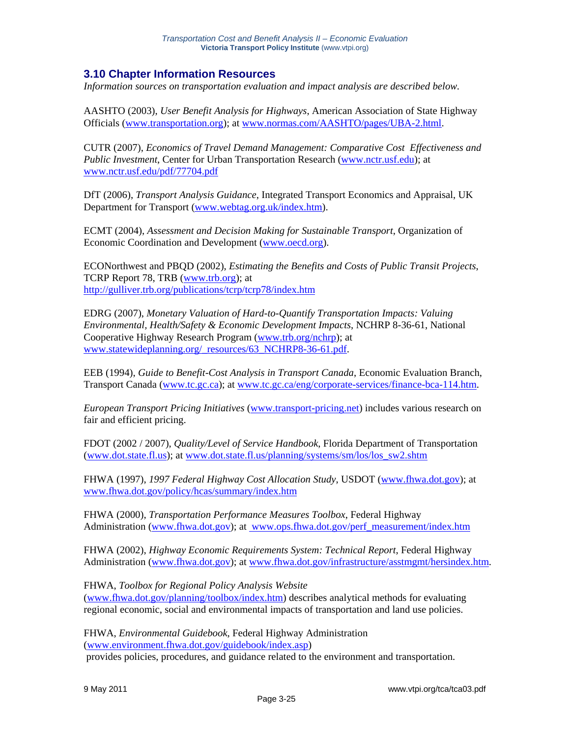## **3.10 Chapter Information Resources**

*Information sources on transportation evaluation and impact analysis are described below.* 

AASHTO (2003), *User Benefit Analysis for Highways*, American Association of State Highway Officials (www.transportation.org); at www.normas.com/AASHTO/pages/UBA-2.html.

CUTR (2007), *Economics of Travel Demand Management: Comparative Cost Effectiveness and Public Investment*, Center for Urban Transportation Research (www.nctr.usf.edu); at www.nctr.usf.edu/pdf/77704.pdf

DfT (2006), *Transport Analysis Guidance*, Integrated Transport Economics and Appraisal, UK Department for Transport (www.webtag.org.uk/index.htm).

ECMT (2004), *Assessment and Decision Making for Sustainable Transport*, Organization of Economic Coordination and Development (www.oecd.org).

ECONorthwest and PBQD (2002), *Estimating the Benefits and Costs of Public Transit Projects*, TCRP Report 78, TRB (www.trb.org); at http://gulliver.trb.org/publications/tcrp/tcrp78/index.htm

EDRG (2007), *Monetary Valuation of Hard-to-Quantify Transportation Impacts: Valuing Environmental, Health/Safety & Economic Development Impacts*, NCHRP 8-36-61, National Cooperative Highway Research Program (www.trb.org/nchrp); at www.statewideplanning.org/\_resources/63\_NCHRP8-36-61.pdf.

EEB (1994), *Guide to Benefit-Cost Analysis in Transport Canada*, Economic Evaluation Branch, Transport Canada (www.tc.gc.ca); at www.tc.gc.ca/eng/corporate-services/finance-bca-114.htm.

*European Transport Pricing Initiatives* (www.transport-pricing.net) includes various research on fair and efficient pricing.

FDOT (2002 / 2007), *Quality/Level of Service Handbook*, Florida Department of Transportation (www.dot.state.fl.us); at www.dot.state.fl.us/planning/systems/sm/los/los\_sw2.shtm

FHWA (1997), *1997 Federal Highway Cost Allocation Study*, USDOT (www.fhwa.dot.gov); at www.fhwa.dot.gov/policy/hcas/summary/index.htm

FHWA (2000), *Transportation Performance Measures Toolbox*, Federal Highway Administration (www.fhwa.dot.gov); at www.ops.fhwa.dot.gov/perf\_measurement/index.htm

FHWA (2002), *Highway Economic Requirements System: Technical Report*, Federal Highway Administration (www.fhwa.dot.gov); at www.fhwa.dot.gov/infrastructure/asstmgmt/hersindex.htm.

FHWA, *Toolbox for Regional Policy Analysis Website*  (www.fhwa.dot.gov/planning/toolbox/index.htm) describes analytical methods for evaluating regional economic, social and environmental impacts of transportation and land use policies.

FHWA, *Environmental Guidebook*, Federal Highway Administration (www.environment.fhwa.dot.gov/guidebook/index.asp) provides policies, procedures, and guidance related to the environment and transportation.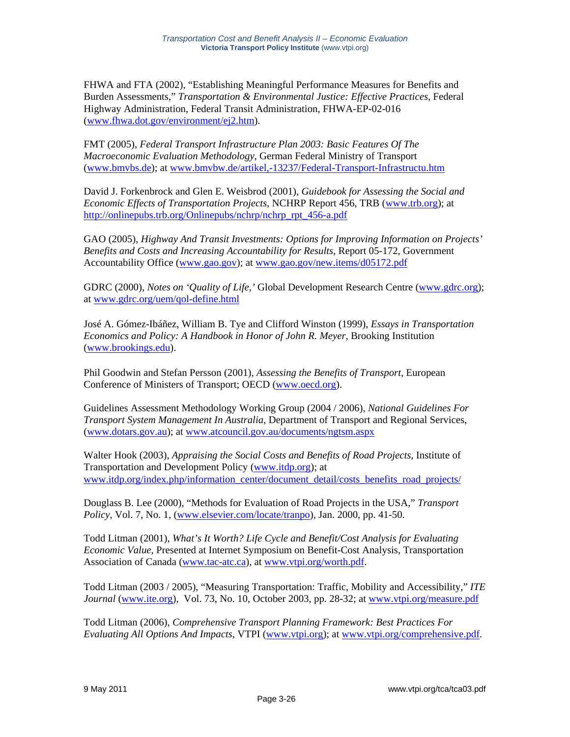FHWA and FTA (2002), "Establishing Meaningful Performance Measures for Benefits and Burden Assessments," *Transportation & Environmental Justice: Effective Practices*, Federal Highway Administration, Federal Transit Administration, FHWA-EP-02-016 (www.fhwa.dot.gov/environment/ej2.htm).

FMT (2005), *Federal Transport Infrastructure Plan 2003: Basic Features Of The Macroeconomic Evaluation Methodology*, German Federal Ministry of Transport (www.bmvbs.de); at www.bmvbw.de/artikel,-13237/Federal-Transport-Infrastructu.htm

David J. Forkenbrock and Glen E. Weisbrod (2001), *Guidebook for Assessing the Social and Economic Effects of Transportation Projects*, NCHRP Report 456, TRB (www.trb.org); at http://onlinepubs.trb.org/Onlinepubs/nchrp/nchrp\_rpt\_456-a.pdf

GAO (2005), *Highway And Transit Investments: Options for Improving Information on Projects' Benefits and Costs and Increasing Accountability for Results*, Report 05-172, Government Accountability Office (www.gao.gov); at www.gao.gov/new.items/d05172.pdf

GDRC (2000), *Notes on 'Quality of Life*, 'Global Development Research Centre (www.gdrc.org); at www.gdrc.org/uem/qol-define.html

José A. Gómez-Ibáñez, William B. Tye and Clifford Winston (1999), *Essays in Transportation Economics and Policy: A Handbook in Honor of John R. Meyer*, Brooking Institution (www.brookings.edu).

Phil Goodwin and Stefan Persson (2001), *Assessing the Benefits of Transport*, European Conference of Ministers of Transport; OECD (www.oecd.org).

Guidelines Assessment Methodology Working Group (2004 / 2006), *National Guidelines For Transport System Management In Australia*, Department of Transport and Regional Services, (www.dotars.gov.au); at www.atcouncil.gov.au/documents/ngtsm.aspx

Walter Hook (2003), *Appraising the Social Costs and Benefits of Road Projects*, Institute of Transportation and Development Policy (www.itdp.org); at www.itdp.org/index.php/information\_center/document\_detail/costs\_benefits\_road\_projects/

Douglass B. Lee (2000), "Methods for Evaluation of Road Projects in the USA," *Transport Policy*, Vol. 7, No. 1, (www.elsevier.com/locate/tranpo), Jan. 2000, pp. 41-50.

Todd Litman (2001), *What's It Worth? Life Cycle and Benefit/Cost Analysis for Evaluating Economic Value*, Presented at Internet Symposium on Benefit-Cost Analysis, Transportation Association of Canada (www.tac-atc.ca), at www.vtpi.org/worth.pdf.

Todd Litman (2003 / 2005), "Measuring Transportation: Traffic, Mobility and Accessibility," *ITE Journal* (www.ite.org), Vol. 73, No. 10, October 2003, pp. 28-32; at www.vtpi.org/measure.pdf

Todd Litman (2006), *Comprehensive Transport Planning Framework: Best Practices For Evaluating All Options And Impacts*, VTPI (www.vtpi.org); at www.vtpi.org/comprehensive.pdf.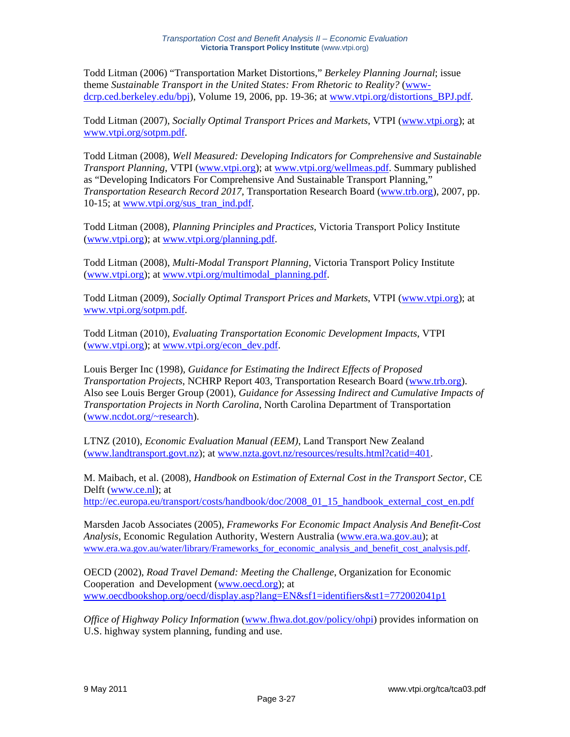Todd Litman (2006) "Transportation Market Distortions," *Berkeley Planning Journal*; issue theme *Sustainable Transport in the United States: From Rhetoric to Reality?* (wwwdcrp.ced.berkeley.edu/bpj), Volume 19, 2006, pp. 19-36; at www.vtpi.org/distortions\_BPJ.pdf.

Todd Litman (2007), *Socially Optimal Transport Prices and Markets*, VTPI (www.vtpi.org); at www.vtpi.org/sotpm.pdf.

Todd Litman (2008), *Well Measured: Developing Indicators for Comprehensive and Sustainable Transport Planning*, VTPI (www.vtpi.org); at www.vtpi.org/wellmeas.pdf. Summary published as "Developing Indicators For Comprehensive And Sustainable Transport Planning," *Transportation Research Record 2017*, Transportation Research Board (www.trb.org), 2007, pp. 10-15; at www.vtpi.org/sus\_tran\_ind.pdf.

Todd Litman (2008), *Planning Principles and Practices*, Victoria Transport Policy Institute (www.vtpi.org); at www.vtpi.org/planning.pdf.

Todd Litman (2008), *Multi-Modal Transport Planning*, Victoria Transport Policy Institute (www.vtpi.org); at www.vtpi.org/multimodal\_planning.pdf.

Todd Litman (2009), *Socially Optimal Transport Prices and Markets*, VTPI (www.vtpi.org); at www.vtpi.org/sotpm.pdf.

Todd Litman (2010), *Evaluating Transportation Economic Development Impacts*, VTPI (www.vtpi.org); at www.vtpi.org/econ\_dev.pdf.

Louis Berger Inc (1998), *Guidance for Estimating the Indirect Effects of Proposed Transportation Projects*, NCHRP Report 403, Transportation Research Board (www.trb.org). Also see Louis Berger Group (2001), *Guidance for Assessing Indirect and Cumulative Impacts of Transportation Projects in North Carolina*, North Carolina Department of Transportation (www.ncdot.org/~research).

LTNZ (2010), *Economic Evaluation Manual (EEM)*, Land Transport New Zealand (www.landtransport.govt.nz); at www.nzta.govt.nz/resources/results.html?catid=401.

M. Maibach, et al. (2008), *Handbook on Estimation of External Cost in the Transport Sector,* CE Delft (www.ce.nl); at http://ec.europa.eu/transport/costs/handbook/doc/2008\_01\_15\_handbook\_external\_cost\_en.pdf

Marsden Jacob Associates (2005), *Frameworks For Economic Impact Analysis And Benefit-Cost Analysis*, Economic Regulation Authority, Western Australia (www.era.wa.gov.au); at www.era.wa.gov.au/water/library/Frameworks for economic analysis and benefit cost analysis.pdf.

OECD (2002), *Road Travel Demand: Meeting the Challenge*, Organization for Economic Cooperation and Development (www.oecd.org); at www.oecdbookshop.org/oecd/display.asp?lang=EN&sf1=identifiers&st1=772002041p1

*Office of Highway Policy Information* (www.fhwa.dot.gov/policy/ohpi) provides information on U.S. highway system planning, funding and use.